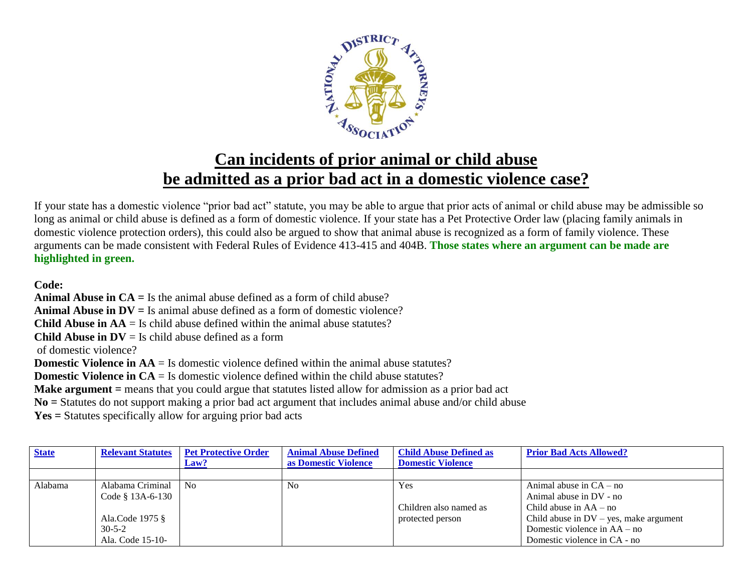

## **Can incidents of prior animal or child abuse be admitted as a prior bad act in a domestic violence case?**

If your state has a domestic violence "prior bad act" statute, you may be able to argue that prior acts of animal or child abuse may be admissible so long as animal or child abuse is defined as a form of domestic violence. If your state has a Pet Protective Order law (placing family animals in domestic violence protection orders), this could also be argued to show that animal abuse is recognized as a form of family violence. These arguments can be made consistent with Federal Rules of Evidence 413-415 and 404B. **Those states where an argument can be made are highlighted in green.**

## **Code:**

**Animal Abuse in CA =** Is the animal abuse defined as a form of child abuse? **Animal Abuse in DV =** Is animal abuse defined as a form of domestic violence? **Child Abuse in**  $AA = Is$  child abuse defined within the animal abuse statutes? **Child Abuse in**  $DV = Is$  **child abuse defined as a form** of domestic violence? **Domestic Violence in AA** = Is domestic violence defined within the animal abuse statutes? **Domestic Violence in CA** = Is domestic violence defined within the child abuse statutes? **Make argument** = means that you could argue that statutes listed allow for admission as a prior bad act **No =** Statutes do not support making a prior bad act argument that includes animal abuse and/or child abuse

**Yes =** Statutes specifically allow for arguing prior bad acts

| <b>State</b> | <b>Relevant Statutes</b> | <b>Pet Protective Order</b> | <b>Animal Abuse Defined</b> | <b>Child Abuse Defined as</b> | <b>Prior Bad Acts Allowed?</b>           |
|--------------|--------------------------|-----------------------------|-----------------------------|-------------------------------|------------------------------------------|
|              |                          | Law?                        | as Domestic Violence        | <b>Domestic Violence</b>      |                                          |
|              |                          |                             |                             |                               |                                          |
| Alabama      | Alabama Criminal         | N <sub>0</sub>              | N <sub>o</sub>              | Yes                           | Animal abuse in $CA - no$                |
|              | Code $§$ 13A-6-130       |                             |                             |                               | Animal abuse in DV - no                  |
|              |                          |                             |                             | Children also named as        | Child abuse in $AA - no$                 |
|              | Ala.Code 1975 §          |                             |                             | protected person              | Child abuse in $DV$ – yes, make argument |
|              | $30 - 5 - 2$             |                             |                             |                               | Domestic violence in $AA - no$           |
|              | Ala. Code 15-10-         |                             |                             |                               | Domestic violence in CA - no             |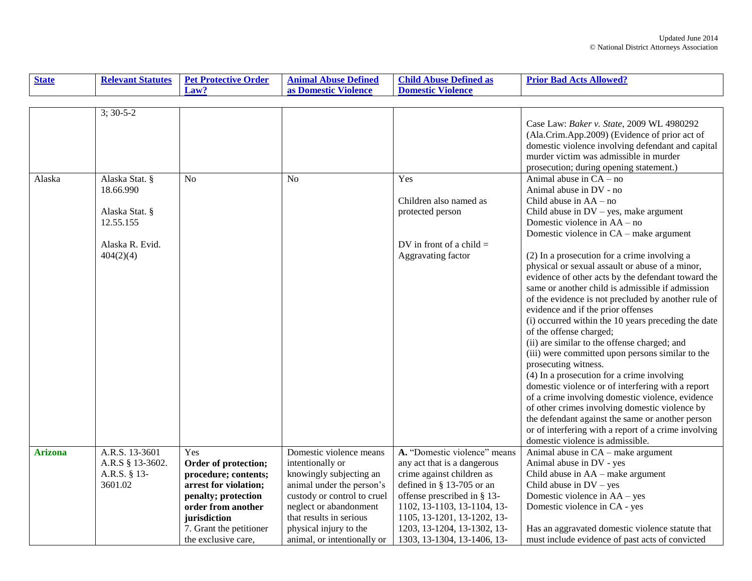| <b>State</b>   | <b>Relevant Statutes</b>    | <b>Pet Protective Order</b>                   | <b>Animal Abuse Defined</b>                          | <b>Child Abuse Defined as</b>                            | <b>Prior Bad Acts Allowed?</b>                                           |
|----------------|-----------------------------|-----------------------------------------------|------------------------------------------------------|----------------------------------------------------------|--------------------------------------------------------------------------|
|                |                             | Law?                                          | as Domestic Violence                                 | <b>Domestic Violence</b>                                 |                                                                          |
|                |                             |                                               |                                                      |                                                          |                                                                          |
|                | $3; 30-5-2$                 |                                               |                                                      |                                                          |                                                                          |
|                |                             |                                               |                                                      |                                                          | Case Law: Baker v. State, 2009 WL 4980292                                |
|                |                             |                                               |                                                      |                                                          | (Ala.Crim.App.2009) (Evidence of prior act of                            |
|                |                             |                                               |                                                      |                                                          | domestic violence involving defendant and capital                        |
|                |                             |                                               |                                                      |                                                          | murder victim was admissible in murder                                   |
|                |                             |                                               |                                                      |                                                          | prosecution; during opening statement.)                                  |
| Alaska         | Alaska Stat. §              | N <sub>o</sub>                                | N <sub>o</sub>                                       | Yes                                                      | Animal abuse in $CA - no$                                                |
|                | 18.66.990                   |                                               |                                                      |                                                          | Animal abuse in DV - no                                                  |
|                |                             |                                               |                                                      | Children also named as                                   | Child abuse in $AA - no$                                                 |
|                | Alaska Stat. §<br>12.55.155 |                                               |                                                      | protected person                                         | Child abuse in $DV$ – yes, make argument<br>Domestic violence in AA – no |
|                |                             |                                               |                                                      |                                                          | Domestic violence in CA – make argument                                  |
|                | Alaska R. Evid.             |                                               |                                                      | DV in front of a child $=$                               |                                                                          |
|                | 404(2)(4)                   |                                               |                                                      | Aggravating factor                                       | (2) In a prosecution for a crime involving a                             |
|                |                             |                                               |                                                      |                                                          | physical or sexual assault or abuse of a minor,                          |
|                |                             |                                               |                                                      |                                                          | evidence of other acts by the defendant toward the                       |
|                |                             |                                               |                                                      |                                                          | same or another child is admissible if admission                         |
|                |                             |                                               |                                                      |                                                          | of the evidence is not precluded by another rule of                      |
|                |                             |                                               |                                                      |                                                          | evidence and if the prior offenses                                       |
|                |                             |                                               |                                                      |                                                          | (i) occurred within the 10 years preceding the date                      |
|                |                             |                                               |                                                      |                                                          | of the offense charged;                                                  |
|                |                             |                                               |                                                      |                                                          | (ii) are similar to the offense charged; and                             |
|                |                             |                                               |                                                      |                                                          | (iii) were committed upon persons similar to the                         |
|                |                             |                                               |                                                      |                                                          | prosecuting witness.                                                     |
|                |                             |                                               |                                                      |                                                          | (4) In a prosecution for a crime involving                               |
|                |                             |                                               |                                                      |                                                          | domestic violence or of interfering with a report                        |
|                |                             |                                               |                                                      |                                                          | of a crime involving domestic violence, evidence                         |
|                |                             |                                               |                                                      |                                                          | of other crimes involving domestic violence by                           |
|                |                             |                                               |                                                      |                                                          | the defendant against the same or another person                         |
|                |                             |                                               |                                                      |                                                          | or of interfering with a report of a crime involving                     |
|                |                             |                                               |                                                      |                                                          | domestic violence is admissible.                                         |
| <b>Arizona</b> | A.R.S. 13-3601              | Yes                                           | Domestic violence means                              | A. "Domestic violence" means                             | Animal abuse in CA – make argument                                       |
|                | A.R.S § 13-3602.            | Order of protection;                          | intentionally or                                     | any act that is a dangerous<br>crime against children as | Animal abuse in DV - yes                                                 |
|                | A.R.S. § 13-<br>3601.02     | procedure; contents;<br>arrest for violation; | knowingly subjecting an<br>animal under the person's | defined in $\S$ 13-705 or an                             | Child abuse in AA – make argument<br>Child abuse in $DV - yes$           |
|                |                             | penalty; protection                           | custody or control to cruel                          | offense prescribed in $\S$ 13-                           | Domestic violence in AA – yes                                            |
|                |                             | order from another                            | neglect or abandonment                               | 1102, 13-1103, 13-1104, 13-                              | Domestic violence in CA - yes                                            |
|                |                             | jurisdiction                                  | that results in serious                              | 1105, 13-1201, 13-1202, 13-                              |                                                                          |
|                |                             | 7. Grant the petitioner                       | physical injury to the                               | 1203, 13-1204, 13-1302, 13-                              | Has an aggravated domestic violence statute that                         |
|                |                             | the exclusive care,                           | animal, or intentionally or                          | 1303, 13-1304, 13-1406, 13-                              | must include evidence of past acts of convicted                          |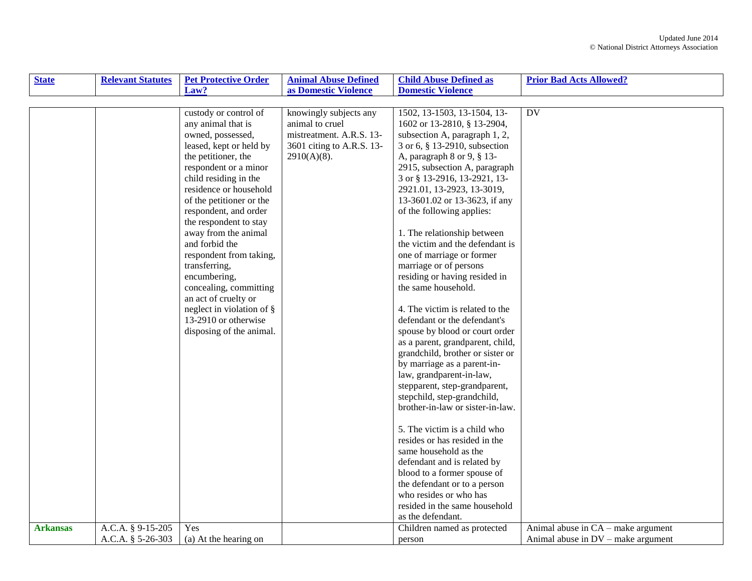| <b>State</b>    | <b>Relevant Statutes</b> | <b>Pet Protective Order</b>  | <b>Animal Abuse Defined</b> | <b>Child Abuse Defined as</b>    | <b>Prior Bad Acts Allowed?</b>       |
|-----------------|--------------------------|------------------------------|-----------------------------|----------------------------------|--------------------------------------|
|                 |                          | Law?                         | as Domestic Violence        | <b>Domestic Violence</b>         |                                      |
|                 |                          |                              |                             |                                  |                                      |
|                 |                          | custody or control of        | knowingly subjects any      | 1502, 13-1503, 13-1504, 13-      | DV                                   |
|                 |                          | any animal that is           | animal to cruel             | 1602 or 13-2810, § 13-2904,      |                                      |
|                 |                          | owned, possessed,            | mistreatment. A.R.S. 13-    | subsection A, paragraph 1, 2,    |                                      |
|                 |                          | leased, kept or held by      | 3601 citing to A.R.S. 13-   | 3 or 6, § 13-2910, subsection    |                                      |
|                 |                          | the petitioner, the          | $2910(A)(8)$ .              | A, paragraph 8 or 9, § 13-       |                                      |
|                 |                          | respondent or a minor        |                             | 2915, subsection A, paragraph    |                                      |
|                 |                          | child residing in the        |                             | 3 or § 13-2916, 13-2921, 13-     |                                      |
|                 |                          | residence or household       |                             | 2921.01, 13-2923, 13-3019,       |                                      |
|                 |                          | of the petitioner or the     |                             | 13-3601.02 or 13-3623, if any    |                                      |
|                 |                          | respondent, and order        |                             | of the following applies:        |                                      |
|                 |                          | the respondent to stay       |                             |                                  |                                      |
|                 |                          | away from the animal         |                             | 1. The relationship between      |                                      |
|                 |                          | and forbid the               |                             | the victim and the defendant is  |                                      |
|                 |                          | respondent from taking,      |                             | one of marriage or former        |                                      |
|                 |                          | transferring,                |                             | marriage or of persons           |                                      |
|                 |                          | encumbering,                 |                             | residing or having resided in    |                                      |
|                 |                          | concealing, committing       |                             | the same household.              |                                      |
|                 |                          | an act of cruelty or         |                             |                                  |                                      |
|                 |                          | neglect in violation of $\S$ |                             | 4. The victim is related to the  |                                      |
|                 |                          | 13-2910 or otherwise         |                             | defendant or the defendant's     |                                      |
|                 |                          | disposing of the animal.     |                             | spouse by blood or court order   |                                      |
|                 |                          |                              |                             | as a parent, grandparent, child, |                                      |
|                 |                          |                              |                             | grandchild, brother or sister or |                                      |
|                 |                          |                              |                             | by marriage as a parent-in-      |                                      |
|                 |                          |                              |                             | law, grandparent-in-law,         |                                      |
|                 |                          |                              |                             | stepparent, step-grandparent,    |                                      |
|                 |                          |                              |                             | stepchild, step-grandchild,      |                                      |
|                 |                          |                              |                             | brother-in-law or sister-in-law. |                                      |
|                 |                          |                              |                             | 5. The victim is a child who     |                                      |
|                 |                          |                              |                             | resides or has resided in the    |                                      |
|                 |                          |                              |                             | same household as the            |                                      |
|                 |                          |                              |                             | defendant and is related by      |                                      |
|                 |                          |                              |                             | blood to a former spouse of      |                                      |
|                 |                          |                              |                             | the defendant or to a person     |                                      |
|                 |                          |                              |                             | who resides or who has           |                                      |
|                 |                          |                              |                             | resided in the same household    |                                      |
|                 |                          |                              |                             | as the defendant.                |                                      |
| <b>Arkansas</b> | A.C.A. § 9-15-205        | Yes                          |                             | Children named as protected      | Animal abuse in $CA$ – make argument |
|                 | A.C.A. § 5-26-303        | (a) At the hearing on        |                             | person                           | Animal abuse in $DV$ – make argument |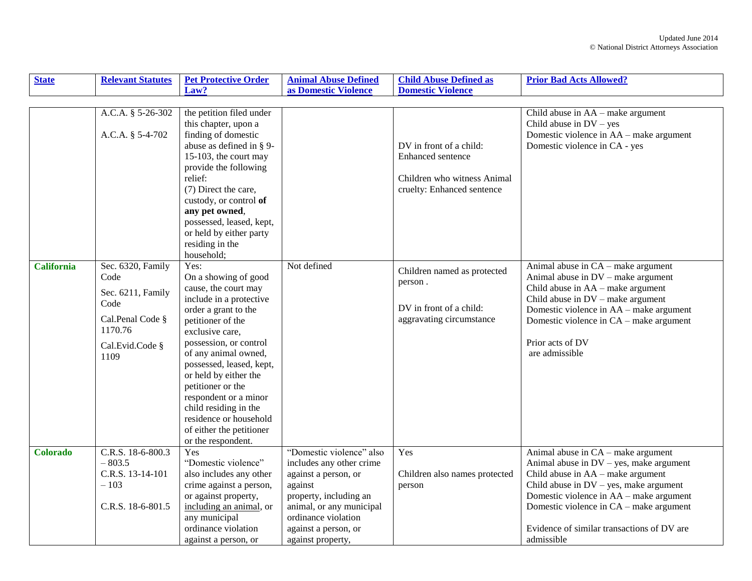| <b>State</b>      | <b>Relevant Statutes</b>                                                                                         | <b>Pet Protective Order</b>                                                                                                                                                                                                                                                                                                                                                                               | <b>Animal Abuse Defined</b>                                                                                                                                                                                       | <b>Child Abuse Defined as</b>                                                                             | <b>Prior Bad Acts Allowed?</b>                                                                                                                                                                                                                                                                                        |
|-------------------|------------------------------------------------------------------------------------------------------------------|-----------------------------------------------------------------------------------------------------------------------------------------------------------------------------------------------------------------------------------------------------------------------------------------------------------------------------------------------------------------------------------------------------------|-------------------------------------------------------------------------------------------------------------------------------------------------------------------------------------------------------------------|-----------------------------------------------------------------------------------------------------------|-----------------------------------------------------------------------------------------------------------------------------------------------------------------------------------------------------------------------------------------------------------------------------------------------------------------------|
|                   |                                                                                                                  | Law?                                                                                                                                                                                                                                                                                                                                                                                                      | as Domestic Violence                                                                                                                                                                                              | <b>Domestic Violence</b>                                                                                  |                                                                                                                                                                                                                                                                                                                       |
|                   |                                                                                                                  |                                                                                                                                                                                                                                                                                                                                                                                                           |                                                                                                                                                                                                                   |                                                                                                           |                                                                                                                                                                                                                                                                                                                       |
|                   | A.C.A. § 5-26-302<br>A.C.A. § 5-4-702                                                                            | the petition filed under<br>this chapter, upon a<br>finding of domestic<br>abuse as defined in § 9-<br>15-103, the court may<br>provide the following<br>relief:<br>(7) Direct the care,<br>custody, or control of<br>any pet owned,<br>possessed, leased, kept,<br>or held by either party<br>residing in the<br>household;                                                                              |                                                                                                                                                                                                                   | DV in front of a child:<br>Enhanced sentence<br>Children who witness Animal<br>cruelty: Enhanced sentence | Child abuse in AA – make argument<br>Child abuse in $DV - yes$<br>Domestic violence in AA – make argument<br>Domestic violence in CA - yes                                                                                                                                                                            |
| <b>California</b> | Sec. 6320, Family<br>Code<br>Sec. 6211, Family<br>Code<br>Cal.Penal Code §<br>1170.76<br>Cal.Evid.Code §<br>1109 | Yes:<br>On a showing of good<br>cause, the court may<br>include in a protective<br>order a grant to the<br>petitioner of the<br>exclusive care,<br>possession, or control<br>of any animal owned,<br>possessed, leased, kept,<br>or held by either the<br>petitioner or the<br>respondent or a minor<br>child residing in the<br>residence or household<br>of either the petitioner<br>or the respondent. | Not defined                                                                                                                                                                                                       | Children named as protected<br>person.<br>DV in front of a child:<br>aggravating circumstance             | Animal abuse in CA – make argument<br>Animal abuse in $DV$ – make argument<br>Child abuse in AA – make argument<br>Child abuse in $DV$ – make argument<br>Domestic violence in AA – make argument<br>Domestic violence in CA - make argument<br>Prior acts of DV<br>are admissible                                    |
| <b>Colorado</b>   | C.R.S. 18-6-800.3<br>$-803.5$<br>C.R.S. 13-14-101<br>$-103$<br>C.R.S. 18-6-801.5                                 | Yes<br>"Domestic violence"<br>also includes any other<br>crime against a person,<br>or against property,<br>including an animal, or<br>any municipal<br>ordinance violation<br>against a person, or                                                                                                                                                                                                       | "Domestic violence" also<br>includes any other crime<br>against a person, or<br>against<br>property, including an<br>animal, or any municipal<br>ordinance violation<br>against a person, or<br>against property, | Yes<br>Children also names protected<br>person                                                            | Animal abuse in CA - make argument<br>Animal abuse in $DV - yes$ , make argument<br>Child abuse in $AA$ – make argument<br>Child abuse in $DV$ – yes, make argument<br>Domestic violence in AA – make argument<br>Domestic violence in CA – make argument<br>Evidence of similar transactions of DV are<br>admissible |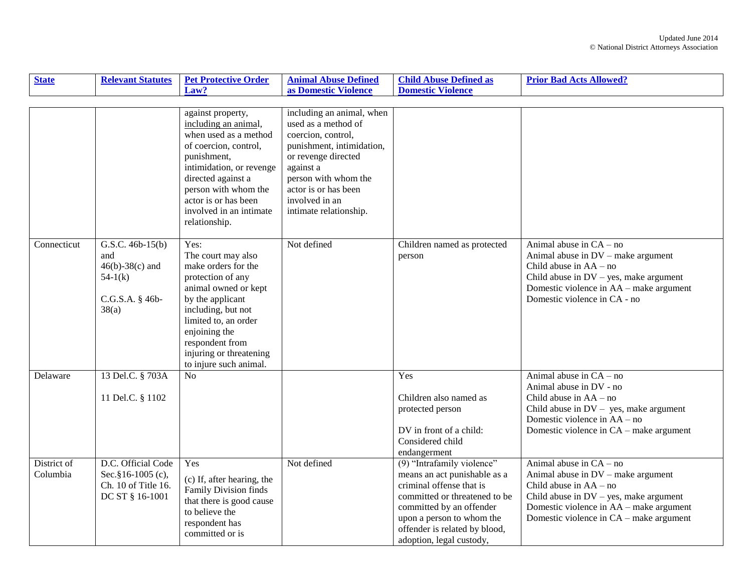| <b>State</b> | <b>Relevant Statutes</b> | <b>Pet Protective Order</b>                  | <b>Animal Abuse Defined</b>            | <b>Child Abuse Defined as</b> | <b>Prior Bad Acts Allowed?</b>            |
|--------------|--------------------------|----------------------------------------------|----------------------------------------|-------------------------------|-------------------------------------------|
|              |                          | Law?                                         | as Domestic Violence                   | <b>Domestic Violence</b>      |                                           |
|              |                          |                                              |                                        |                               |                                           |
|              |                          | against property,                            | including an animal, when              |                               |                                           |
|              |                          | including an animal,                         | used as a method of                    |                               |                                           |
|              |                          | when used as a method                        | coercion, control,                     |                               |                                           |
|              |                          | of coercion, control,                        | punishment, intimidation,              |                               |                                           |
|              |                          | punishment,                                  | or revenge directed                    |                               |                                           |
|              |                          | intimidation, or revenge                     | against a                              |                               |                                           |
|              |                          | directed against a                           | person with whom the                   |                               |                                           |
|              |                          | person with whom the<br>actor is or has been | actor is or has been<br>involved in an |                               |                                           |
|              |                          | involved in an intimate                      | intimate relationship.                 |                               |                                           |
|              |                          | relationship.                                |                                        |                               |                                           |
|              |                          |                                              |                                        |                               |                                           |
| Connecticut  | G.S.C. $46b-15(b)$       | Yes:                                         | Not defined                            | Children named as protected   | Animal abuse in $CA - no$                 |
|              | and                      | The court may also                           |                                        | person                        | Animal abuse in DV – make argument        |
|              | $46(b) - 38(c)$ and      | make orders for the                          |                                        |                               | Child abuse in $AA - no$                  |
|              | $54-1(k)$                | protection of any                            |                                        |                               | Child abuse in $DV$ – yes, make argument  |
|              |                          | animal owned or kept                         |                                        |                               | Domestic violence in AA – make argument   |
|              | C.G.S.A. § 46b-          | by the applicant                             |                                        |                               | Domestic violence in CA - no              |
|              | 38(a)                    | including, but not                           |                                        |                               |                                           |
|              |                          | limited to, an order                         |                                        |                               |                                           |
|              |                          | enjoining the                                |                                        |                               |                                           |
|              |                          | respondent from                              |                                        |                               |                                           |
|              |                          | injuring or threatening                      |                                        |                               |                                           |
|              |                          | to injure such animal.                       |                                        |                               | Animal abuse in $CA - no$                 |
| Delaware     | 13 Del.C. § 703A         | No                                           |                                        | Yes                           | Animal abuse in DV - no                   |
|              | 11 Del.C. § 1102         |                                              |                                        | Children also named as        | Child abuse in $AA - no$                  |
|              |                          |                                              |                                        | protected person              | Child abuse in $DV - yes$ , make argument |
|              |                          |                                              |                                        |                               | Domestic violence in AA – no              |
|              |                          |                                              |                                        | DV in front of a child:       | Domestic violence in CA – make argument   |
|              |                          |                                              |                                        | Considered child              |                                           |
|              |                          |                                              |                                        | endangerment                  |                                           |
| District of  | D.C. Official Code       | Yes                                          | Not defined                            | $(9)$ "Intrafamily violence"  | Animal abuse in $CA - no$                 |
| Columbia     | Sec. §16-1005 (c),       | (c) If, after hearing, the                   |                                        | means an act punishable as a  | Animal abuse in DV - make argument        |
|              | Ch. 10 of Title 16.      | Family Division finds                        |                                        | criminal offense that is      | Child abuse in $AA - no$                  |
|              | DC ST § 16-1001          | that there is good cause                     |                                        | committed or threatened to be | Child abuse in $DV$ – yes, make argument  |
|              |                          | to believe the                               |                                        | committed by an offender      | Domestic violence in AA – make argument   |
|              |                          | respondent has                               |                                        | upon a person to whom the     | Domestic violence in CA – make argument   |
|              |                          | committed or is                              |                                        | offender is related by blood, |                                           |
|              |                          |                                              |                                        | adoption, legal custody,      |                                           |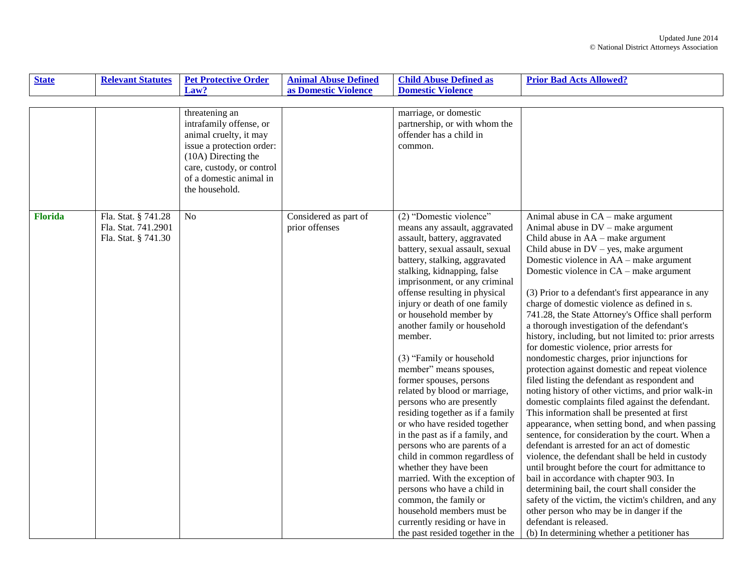| <b>State</b>   | <b>Relevant Statutes</b>                                          | <b>Pet Protective Order</b>                                                                                                                                                                       | <b>Animal Abuse Defined</b>             | <b>Child Abuse Defined as</b>                                                                                                                                                                                                                                                                                                                                                                                                                                                                                                                                                                                                                                                                                                                                                                                                                                                                                   | <b>Prior Bad Acts Allowed?</b>                                                                                                                                                                                                                                                                                                                                                                                                                                                                                                                                                                                                                                                                                                                                                                                                                                                                                                                                                                                                                                                                                                                                                                                                                                                                                                                                                                                            |
|----------------|-------------------------------------------------------------------|---------------------------------------------------------------------------------------------------------------------------------------------------------------------------------------------------|-----------------------------------------|-----------------------------------------------------------------------------------------------------------------------------------------------------------------------------------------------------------------------------------------------------------------------------------------------------------------------------------------------------------------------------------------------------------------------------------------------------------------------------------------------------------------------------------------------------------------------------------------------------------------------------------------------------------------------------------------------------------------------------------------------------------------------------------------------------------------------------------------------------------------------------------------------------------------|---------------------------------------------------------------------------------------------------------------------------------------------------------------------------------------------------------------------------------------------------------------------------------------------------------------------------------------------------------------------------------------------------------------------------------------------------------------------------------------------------------------------------------------------------------------------------------------------------------------------------------------------------------------------------------------------------------------------------------------------------------------------------------------------------------------------------------------------------------------------------------------------------------------------------------------------------------------------------------------------------------------------------------------------------------------------------------------------------------------------------------------------------------------------------------------------------------------------------------------------------------------------------------------------------------------------------------------------------------------------------------------------------------------------------|
|                |                                                                   | Law?                                                                                                                                                                                              | as Domestic Violence                    | <b>Domestic Violence</b>                                                                                                                                                                                                                                                                                                                                                                                                                                                                                                                                                                                                                                                                                                                                                                                                                                                                                        |                                                                                                                                                                                                                                                                                                                                                                                                                                                                                                                                                                                                                                                                                                                                                                                                                                                                                                                                                                                                                                                                                                                                                                                                                                                                                                                                                                                                                           |
|                |                                                                   |                                                                                                                                                                                                   |                                         |                                                                                                                                                                                                                                                                                                                                                                                                                                                                                                                                                                                                                                                                                                                                                                                                                                                                                                                 |                                                                                                                                                                                                                                                                                                                                                                                                                                                                                                                                                                                                                                                                                                                                                                                                                                                                                                                                                                                                                                                                                                                                                                                                                                                                                                                                                                                                                           |
|                |                                                                   | threatening an<br>intrafamily offense, or<br>animal cruelty, it may<br>issue a protection order:<br>(10A) Directing the<br>care, custody, or control<br>of a domestic animal in<br>the household. |                                         | marriage, or domestic<br>partnership, or with whom the<br>offender has a child in<br>common.                                                                                                                                                                                                                                                                                                                                                                                                                                                                                                                                                                                                                                                                                                                                                                                                                    |                                                                                                                                                                                                                                                                                                                                                                                                                                                                                                                                                                                                                                                                                                                                                                                                                                                                                                                                                                                                                                                                                                                                                                                                                                                                                                                                                                                                                           |
| <b>Florida</b> | Fla. Stat. § 741.28<br>Fla. Stat. 741.2901<br>Fla. Stat. § 741.30 | N <sub>o</sub>                                                                                                                                                                                    | Considered as part of<br>prior offenses | (2) "Domestic violence"<br>means any assault, aggravated<br>assault, battery, aggravated<br>battery, sexual assault, sexual<br>battery, stalking, aggravated<br>stalking, kidnapping, false<br>imprisonment, or any criminal<br>offense resulting in physical<br>injury or death of one family<br>or household member by<br>another family or household<br>member.<br>(3) "Family or household<br>member" means spouses,<br>former spouses, persons<br>related by blood or marriage,<br>persons who are presently<br>residing together as if a family<br>or who have resided together<br>in the past as if a family, and<br>persons who are parents of a<br>child in common regardless of<br>whether they have been<br>married. With the exception of<br>persons who have a child in<br>common, the family or<br>household members must be<br>currently residing or have in<br>the past resided together in the | Animal abuse in $CA$ – make argument<br>Animal abuse in $DV$ – make argument<br>Child abuse in $AA$ – make argument<br>Child abuse in $DV$ – yes, make argument<br>Domestic violence in AA – make argument<br>Domestic violence in CA – make argument<br>(3) Prior to a defendant's first appearance in any<br>charge of domestic violence as defined in s.<br>741.28, the State Attorney's Office shall perform<br>a thorough investigation of the defendant's<br>history, including, but not limited to: prior arrests<br>for domestic violence, prior arrests for<br>nondomestic charges, prior injunctions for<br>protection against domestic and repeat violence<br>filed listing the defendant as respondent and<br>noting history of other victims, and prior walk-in<br>domestic complaints filed against the defendant.<br>This information shall be presented at first<br>appearance, when setting bond, and when passing<br>sentence, for consideration by the court. When a<br>defendant is arrested for an act of domestic<br>violence, the defendant shall be held in custody<br>until brought before the court for admittance to<br>bail in accordance with chapter 903. In<br>determining bail, the court shall consider the<br>safety of the victim, the victim's children, and any<br>other person who may be in danger if the<br>defendant is released.<br>(b) In determining whether a petitioner has |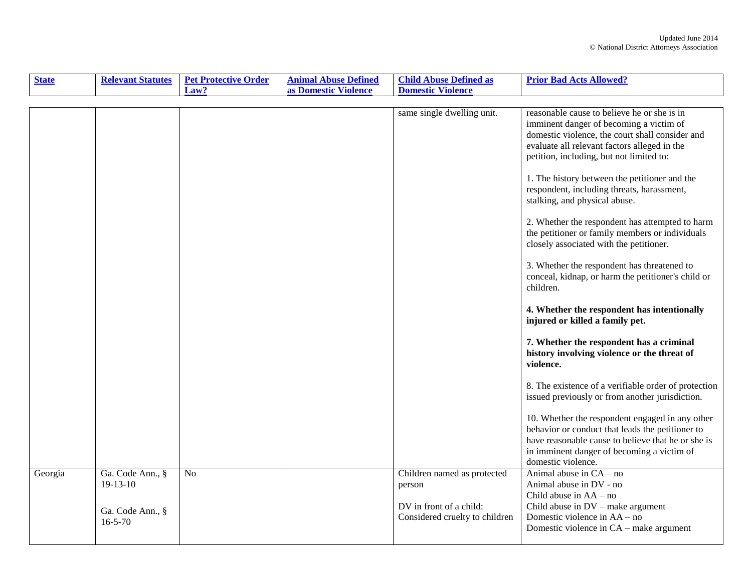| <b>State</b> | <b>Relevant Statutes</b>                                            | <b>Pet Protective Order</b> | <b>Animal Abuse Defined</b> | <b>Child Abuse Defined as</b>                                                                      | <b>Prior Bad Acts Allowed?</b>                                                                                                                                                                                                                                                                                                                                                                                                                                                                                                                                                                                                           |
|--------------|---------------------------------------------------------------------|-----------------------------|-----------------------------|----------------------------------------------------------------------------------------------------|------------------------------------------------------------------------------------------------------------------------------------------------------------------------------------------------------------------------------------------------------------------------------------------------------------------------------------------------------------------------------------------------------------------------------------------------------------------------------------------------------------------------------------------------------------------------------------------------------------------------------------------|
|              |                                                                     | Law?                        | as Domestic Violence        | <b>Domestic Violence</b>                                                                           |                                                                                                                                                                                                                                                                                                                                                                                                                                                                                                                                                                                                                                          |
|              |                                                                     |                             |                             |                                                                                                    |                                                                                                                                                                                                                                                                                                                                                                                                                                                                                                                                                                                                                                          |
|              |                                                                     |                             |                             | same single dwelling unit.                                                                         | reasonable cause to believe he or she is in<br>imminent danger of becoming a victim of<br>domestic violence, the court shall consider and<br>evaluate all relevant factors alleged in the<br>petition, including, but not limited to:<br>1. The history between the petitioner and the<br>respondent, including threats, harassment,<br>stalking, and physical abuse.<br>2. Whether the respondent has attempted to harm<br>the petitioner or family members or individuals<br>closely associated with the petitioner.<br>3. Whether the respondent has threatened to<br>conceal, kidnap, or harm the petitioner's child or<br>children. |
|              |                                                                     |                             |                             |                                                                                                    | 4. Whether the respondent has intentionally<br>injured or killed a family pet.<br>7. Whether the respondent has a criminal<br>history involving violence or the threat of                                                                                                                                                                                                                                                                                                                                                                                                                                                                |
|              |                                                                     |                             |                             |                                                                                                    | violence.<br>8. The existence of a verifiable order of protection<br>issued previously or from another jurisdiction.                                                                                                                                                                                                                                                                                                                                                                                                                                                                                                                     |
|              |                                                                     |                             |                             |                                                                                                    | 10. Whether the respondent engaged in any other<br>behavior or conduct that leads the petitioner to<br>have reasonable cause to believe that he or she is<br>in imminent danger of becoming a victim of<br>domestic violence.                                                                                                                                                                                                                                                                                                                                                                                                            |
| Georgia      | Ga. Code Ann., §<br>$19-13-10$<br>Ga. Code Ann., §<br>$16 - 5 - 70$ | N <sub>o</sub>              |                             | Children named as protected<br>person<br>DV in front of a child:<br>Considered cruelty to children | Animal abuse in $CA - no$<br>Animal abuse in DV - no<br>Child abuse in $AA - no$<br>Child abuse in $DV$ – make argument<br>Domestic violence in AA - no<br>Domestic violence in CA – make argument                                                                                                                                                                                                                                                                                                                                                                                                                                       |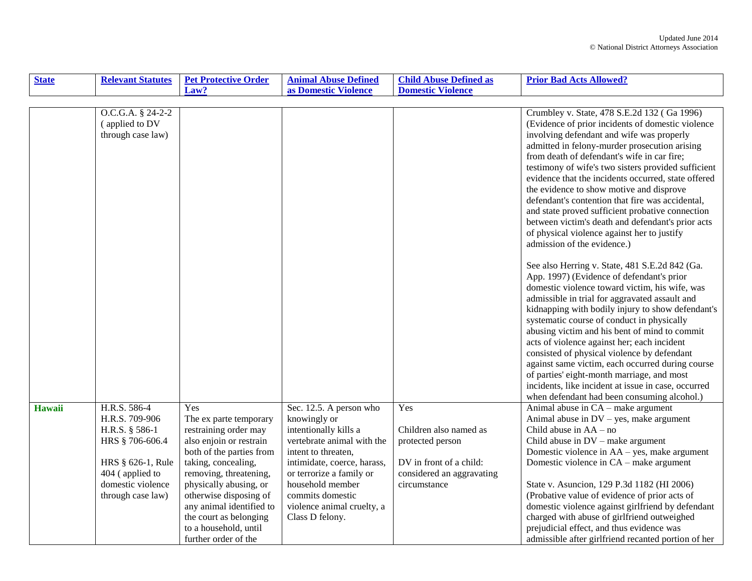| <b>State</b>  | <b>Relevant Statutes</b>                                                                                                                              | <b>Pet Protective Order</b>                                                                                                                                                                                                                                                                                               | <b>Animal Abuse Defined</b>                                                                                                                                                                                                                                               | <b>Child Abuse Defined as</b>                                                                                             | <b>Prior Bad Acts Allowed?</b>                                                                                                                                                                                                                                                                                                                                                                                                                                                                                                                                                                                                                                                                                                                                                                                                                                                                                                                                                                                                                                                                          |
|---------------|-------------------------------------------------------------------------------------------------------------------------------------------------------|---------------------------------------------------------------------------------------------------------------------------------------------------------------------------------------------------------------------------------------------------------------------------------------------------------------------------|---------------------------------------------------------------------------------------------------------------------------------------------------------------------------------------------------------------------------------------------------------------------------|---------------------------------------------------------------------------------------------------------------------------|---------------------------------------------------------------------------------------------------------------------------------------------------------------------------------------------------------------------------------------------------------------------------------------------------------------------------------------------------------------------------------------------------------------------------------------------------------------------------------------------------------------------------------------------------------------------------------------------------------------------------------------------------------------------------------------------------------------------------------------------------------------------------------------------------------------------------------------------------------------------------------------------------------------------------------------------------------------------------------------------------------------------------------------------------------------------------------------------------------|
|               |                                                                                                                                                       | Law?                                                                                                                                                                                                                                                                                                                      | as Domestic Violence                                                                                                                                                                                                                                                      | <b>Domestic Violence</b>                                                                                                  |                                                                                                                                                                                                                                                                                                                                                                                                                                                                                                                                                                                                                                                                                                                                                                                                                                                                                                                                                                                                                                                                                                         |
|               |                                                                                                                                                       |                                                                                                                                                                                                                                                                                                                           |                                                                                                                                                                                                                                                                           |                                                                                                                           |                                                                                                                                                                                                                                                                                                                                                                                                                                                                                                                                                                                                                                                                                                                                                                                                                                                                                                                                                                                                                                                                                                         |
|               | O.C.G.A. § 24-2-2<br>(applied to DV<br>through case law)                                                                                              |                                                                                                                                                                                                                                                                                                                           |                                                                                                                                                                                                                                                                           |                                                                                                                           | Crumbley v. State, 478 S.E.2d 132 (Ga 1996)<br>(Evidence of prior incidents of domestic violence<br>involving defendant and wife was properly<br>admitted in felony-murder prosecution arising<br>from death of defendant's wife in car fire;<br>testimony of wife's two sisters provided sufficient<br>evidence that the incidents occurred, state offered<br>the evidence to show motive and disprove<br>defendant's contention that fire was accidental,<br>and state proved sufficient probative connection<br>between victim's death and defendant's prior acts<br>of physical violence against her to justify<br>admission of the evidence.)<br>See also Herring v. State, 481 S.E.2d 842 (Ga.<br>App. 1997) (Evidence of defendant's prior<br>domestic violence toward victim, his wife, was<br>admissible in trial for aggravated assault and<br>kidnapping with bodily injury to show defendant's<br>systematic course of conduct in physically<br>abusing victim and his bent of mind to commit<br>acts of violence against her; each incident<br>consisted of physical violence by defendant |
|               |                                                                                                                                                       |                                                                                                                                                                                                                                                                                                                           |                                                                                                                                                                                                                                                                           |                                                                                                                           | against same victim, each occurred during course<br>of parties' eight-month marriage, and most<br>incidents, like incident at issue in case, occurred<br>when defendant had been consuming alcohol.)                                                                                                                                                                                                                                                                                                                                                                                                                                                                                                                                                                                                                                                                                                                                                                                                                                                                                                    |
| <b>Hawaii</b> | H.R.S. 586-4<br>H.R.S. 709-906<br>H.R.S. § 586-1<br>HRS § 706-606.4<br>HRS § 626-1, Rule<br>404 (applied to<br>domestic violence<br>through case law) | Yes<br>The ex parte temporary<br>restraining order may<br>also enjoin or restrain<br>both of the parties from<br>taking, concealing,<br>removing, threatening,<br>physically abusing, or<br>otherwise disposing of<br>any animal identified to<br>the court as belonging<br>to a household, until<br>further order of the | Sec. 12.5. A person who<br>knowingly or<br>intentionally kills a<br>vertebrate animal with the<br>intent to threaten,<br>intimidate, coerce, harass,<br>or terrorize a family or<br>household member<br>commits domestic<br>violence animal cruelty, a<br>Class D felony. | Yes<br>Children also named as<br>protected person<br>DV in front of a child:<br>considered an aggravating<br>circumstance | Animal abuse in CA - make argument<br>Animal abuse in $DV$ – yes, make argument<br>Child abuse in $AA - no$<br>Child abuse in $DV$ – make argument<br>Domestic violence in AA – yes, make argument<br>Domestic violence in CA – make argument<br>State v. Asuncion, 129 P.3d 1182 (HI 2006)<br>(Probative value of evidence of prior acts of<br>domestic violence against girlfriend by defendant<br>charged with abuse of girlfriend outweighed<br>prejudicial effect, and thus evidence was<br>admissible after girlfriend recanted portion of her                                                                                                                                                                                                                                                                                                                                                                                                                                                                                                                                                    |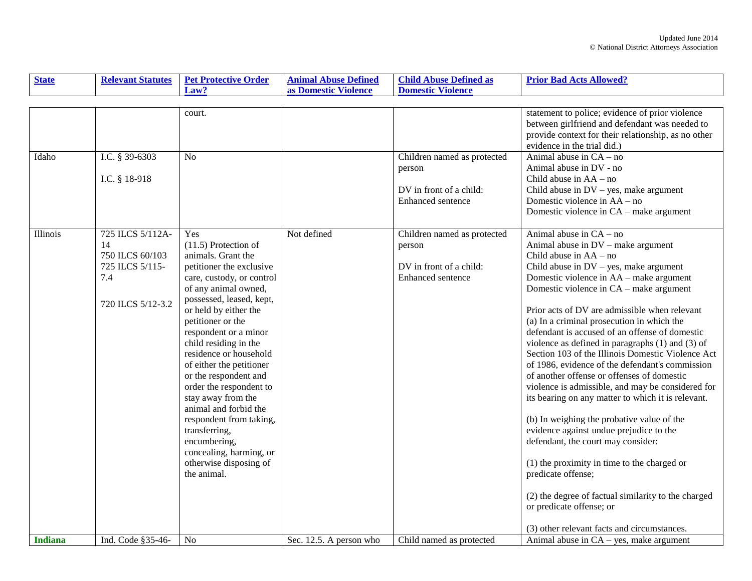| <b>State</b>   | <b>Relevant Statutes</b>                                                                 | <b>Pet Protective Order</b>                                                                                                                                                                                                                                                                                                                                                                                                                                                                                                                               | <b>Animal Abuse Defined</b> | <b>Child Abuse Defined as</b>                                                         | <b>Prior Bad Acts Allowed?</b>                                                                                                                                                                                                                                                                                                                                                                                                                                                                                                                                                                                                                                                                                                                                                                                                                                                                                                                                                                                                                  |
|----------------|------------------------------------------------------------------------------------------|-----------------------------------------------------------------------------------------------------------------------------------------------------------------------------------------------------------------------------------------------------------------------------------------------------------------------------------------------------------------------------------------------------------------------------------------------------------------------------------------------------------------------------------------------------------|-----------------------------|---------------------------------------------------------------------------------------|-------------------------------------------------------------------------------------------------------------------------------------------------------------------------------------------------------------------------------------------------------------------------------------------------------------------------------------------------------------------------------------------------------------------------------------------------------------------------------------------------------------------------------------------------------------------------------------------------------------------------------------------------------------------------------------------------------------------------------------------------------------------------------------------------------------------------------------------------------------------------------------------------------------------------------------------------------------------------------------------------------------------------------------------------|
|                |                                                                                          | Law?                                                                                                                                                                                                                                                                                                                                                                                                                                                                                                                                                      | as Domestic Violence        | <b>Domestic Violence</b>                                                              |                                                                                                                                                                                                                                                                                                                                                                                                                                                                                                                                                                                                                                                                                                                                                                                                                                                                                                                                                                                                                                                 |
|                |                                                                                          |                                                                                                                                                                                                                                                                                                                                                                                                                                                                                                                                                           |                             |                                                                                       |                                                                                                                                                                                                                                                                                                                                                                                                                                                                                                                                                                                                                                                                                                                                                                                                                                                                                                                                                                                                                                                 |
| Idaho          | I.C. § 39-6303                                                                           | court.<br>No                                                                                                                                                                                                                                                                                                                                                                                                                                                                                                                                              |                             | Children named as protected<br>person                                                 | statement to police; evidence of prior violence<br>between girlfriend and defendant was needed to<br>provide context for their relationship, as no other<br>evidence in the trial did.)<br>Animal abuse in $CA - no$<br>Animal abuse in DV - no                                                                                                                                                                                                                                                                                                                                                                                                                                                                                                                                                                                                                                                                                                                                                                                                 |
|                | I.C. § 18-918                                                                            |                                                                                                                                                                                                                                                                                                                                                                                                                                                                                                                                                           |                             | DV in front of a child:<br>Enhanced sentence                                          | Child abuse in $AA - no$<br>Child abuse in $DV$ – yes, make argument<br>Domestic violence in AA – no<br>Domestic violence in CA – make argument                                                                                                                                                                                                                                                                                                                                                                                                                                                                                                                                                                                                                                                                                                                                                                                                                                                                                                 |
| Illinois       | 725 ILCS 5/112A-<br>14<br>750 ILCS 60/103<br>725 ILCS 5/115-<br>7.4<br>720 ILCS 5/12-3.2 | Yes<br>$(11.5)$ Protection of<br>animals. Grant the<br>petitioner the exclusive<br>care, custody, or control<br>of any animal owned,<br>possessed, leased, kept,<br>or held by either the<br>petitioner or the<br>respondent or a minor<br>child residing in the<br>residence or household<br>of either the petitioner<br>or the respondent and<br>order the respondent to<br>stay away from the<br>animal and forbid the<br>respondent from taking,<br>transferring,<br>encumbering,<br>concealing, harming, or<br>otherwise disposing of<br>the animal. | Not defined                 | Children named as protected<br>person<br>DV in front of a child:<br>Enhanced sentence | Animal abuse in $CA - no$<br>Animal abuse in DV - make argument<br>Child abuse in $AA - no$<br>Child abuse in $DV$ – yes, make argument<br>Domestic violence in AA - make argument<br>Domestic violence in CA – make argument<br>Prior acts of DV are admissible when relevant<br>(a) In a criminal prosecution in which the<br>defendant is accused of an offense of domestic<br>violence as defined in paragraphs $(1)$ and $(3)$ of<br>Section 103 of the Illinois Domestic Violence Act<br>of 1986, evidence of the defendant's commission<br>of another offense or offenses of domestic<br>violence is admissible, and may be considered for<br>its bearing on any matter to which it is relevant.<br>(b) In weighing the probative value of the<br>evidence against undue prejudice to the<br>defendant, the court may consider:<br>$(1)$ the proximity in time to the charged or<br>predicate offense;<br>(2) the degree of factual similarity to the charged<br>or predicate offense; or<br>(3) other relevant facts and circumstances. |
| <b>Indiana</b> | Ind. Code §35-46-                                                                        | No                                                                                                                                                                                                                                                                                                                                                                                                                                                                                                                                                        | Sec. 12.5. A person who     | Child named as protected                                                              | Animal abuse in $CA - yes$ , make argument                                                                                                                                                                                                                                                                                                                                                                                                                                                                                                                                                                                                                                                                                                                                                                                                                                                                                                                                                                                                      |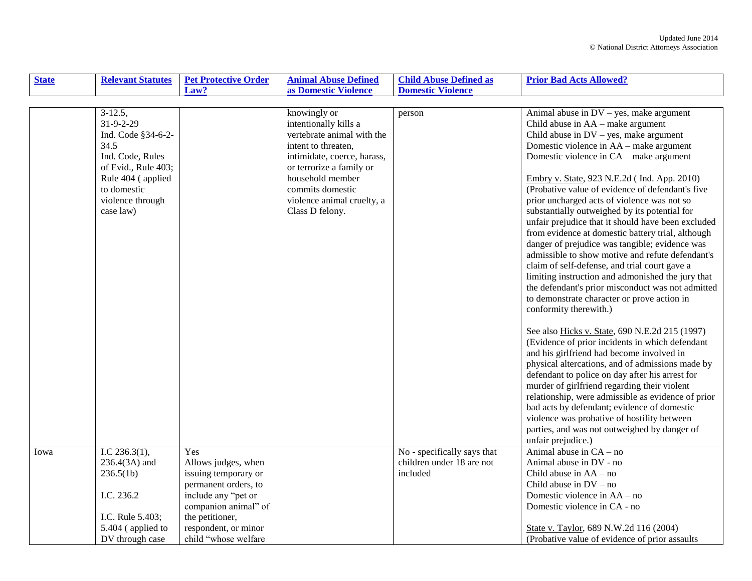| <b>State</b> | <b>Relevant Statutes</b>                                                                                                                                              | <b>Pet Protective Order</b>                                                                                                                                                                  | <b>Animal Abuse Defined</b>                                                                                                                                                                                                                    | <b>Child Abuse Defined as</b>                                        | <b>Prior Bad Acts Allowed?</b>                                                                                                                                                                                                                                                                                                                                                                                                                                                                                                                                                                                                                                                                                                                                                                                                                                                                                                                                                                                                                                                                                                                                                                                                                                                                                                                                                        |
|--------------|-----------------------------------------------------------------------------------------------------------------------------------------------------------------------|----------------------------------------------------------------------------------------------------------------------------------------------------------------------------------------------|------------------------------------------------------------------------------------------------------------------------------------------------------------------------------------------------------------------------------------------------|----------------------------------------------------------------------|---------------------------------------------------------------------------------------------------------------------------------------------------------------------------------------------------------------------------------------------------------------------------------------------------------------------------------------------------------------------------------------------------------------------------------------------------------------------------------------------------------------------------------------------------------------------------------------------------------------------------------------------------------------------------------------------------------------------------------------------------------------------------------------------------------------------------------------------------------------------------------------------------------------------------------------------------------------------------------------------------------------------------------------------------------------------------------------------------------------------------------------------------------------------------------------------------------------------------------------------------------------------------------------------------------------------------------------------------------------------------------------|
|              |                                                                                                                                                                       | Law?                                                                                                                                                                                         | as Domestic Violence                                                                                                                                                                                                                           | <b>Domestic Violence</b>                                             |                                                                                                                                                                                                                                                                                                                                                                                                                                                                                                                                                                                                                                                                                                                                                                                                                                                                                                                                                                                                                                                                                                                                                                                                                                                                                                                                                                                       |
|              |                                                                                                                                                                       |                                                                                                                                                                                              |                                                                                                                                                                                                                                                |                                                                      |                                                                                                                                                                                                                                                                                                                                                                                                                                                                                                                                                                                                                                                                                                                                                                                                                                                                                                                                                                                                                                                                                                                                                                                                                                                                                                                                                                                       |
|              | $3-12.5$ ,<br>31-9-2-29<br>Ind. Code §34-6-2-<br>34.5<br>Ind. Code, Rules<br>of Evid., Rule 403;<br>Rule 404 (applied<br>to domestic<br>violence through<br>case law) |                                                                                                                                                                                              | knowingly or<br>intentionally kills a<br>vertebrate animal with the<br>intent to threaten,<br>intimidate, coerce, harass,<br>or terrorize a family or<br>household member<br>commits domestic<br>violence animal cruelty, a<br>Class D felony. | person                                                               | Animal abuse in $DV$ – yes, make argument<br>Child abuse in AA – make argument<br>Child abuse in $DV$ – yes, make argument<br>Domestic violence in AA – make argument<br>Domestic violence in CA – make argument<br>Embry v. State, 923 N.E.2d (Ind. App. 2010)<br>(Probative value of evidence of defendant's five<br>prior uncharged acts of violence was not so<br>substantially outweighed by its potential for<br>unfair prejudice that it should have been excluded<br>from evidence at domestic battery trial, although<br>danger of prejudice was tangible; evidence was<br>admissible to show motive and refute defendant's<br>claim of self-defense, and trial court gave a<br>limiting instruction and admonished the jury that<br>the defendant's prior misconduct was not admitted<br>to demonstrate character or prove action in<br>conformity therewith.)<br>See also Hicks v. State, 690 N.E.2d 215 (1997)<br>(Evidence of prior incidents in which defendant<br>and his girlfriend had become involved in<br>physical altercations, and of admissions made by<br>defendant to police on day after his arrest for<br>murder of girlfriend regarding their violent<br>relationship, were admissible as evidence of prior<br>bad acts by defendant; evidence of domestic<br>violence was probative of hostility between<br>parties, and was not outweighed by danger of |
|              |                                                                                                                                                                       |                                                                                                                                                                                              |                                                                                                                                                                                                                                                |                                                                      | unfair prejudice.)                                                                                                                                                                                                                                                                                                                                                                                                                                                                                                                                                                                                                                                                                                                                                                                                                                                                                                                                                                                                                                                                                                                                                                                                                                                                                                                                                                    |
| Iowa         | I.C $236.3(1)$ ,<br>236.4(3A) and<br>236.5(1b)<br>I.C. 236.2<br>I.C. Rule 5.403;<br>5.404 (applied to<br>DV through case                                              | Yes<br>Allows judges, when<br>issuing temporary or<br>permanent orders, to<br>include any "pet or<br>companion animal" of<br>the petitioner,<br>respondent, or minor<br>child "whose welfare |                                                                                                                                                                                                                                                | No - specifically says that<br>children under 18 are not<br>included | Animal abuse in $CA - no$<br>Animal abuse in DV - no<br>Child abuse in $AA - no$<br>Child abuse in $DV - no$<br>Domestic violence in AA – no<br>Domestic violence in CA - no<br>State v. Taylor, 689 N.W.2d 116 (2004)<br>(Probative value of evidence of prior assaults)                                                                                                                                                                                                                                                                                                                                                                                                                                                                                                                                                                                                                                                                                                                                                                                                                                                                                                                                                                                                                                                                                                             |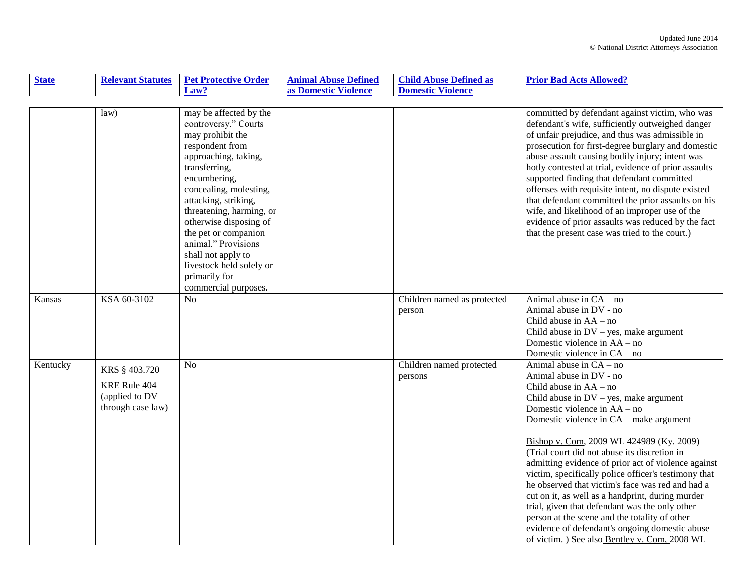| <b>State</b> | <b>Relevant Statutes</b>                                             | <b>Pet Protective Order</b>                                                                                                                                                                                                                                                                                                                                                                      | <b>Animal Abuse Defined</b> | <b>Child Abuse Defined as</b>         | <b>Prior Bad Acts Allowed?</b>                                                                                                                                                                                                                                                                                                                                                                                                                                                                                                                                                                                                                                                                                                  |
|--------------|----------------------------------------------------------------------|--------------------------------------------------------------------------------------------------------------------------------------------------------------------------------------------------------------------------------------------------------------------------------------------------------------------------------------------------------------------------------------------------|-----------------------------|---------------------------------------|---------------------------------------------------------------------------------------------------------------------------------------------------------------------------------------------------------------------------------------------------------------------------------------------------------------------------------------------------------------------------------------------------------------------------------------------------------------------------------------------------------------------------------------------------------------------------------------------------------------------------------------------------------------------------------------------------------------------------------|
|              |                                                                      | Law?                                                                                                                                                                                                                                                                                                                                                                                             | as Domestic Violence        | <b>Domestic Violence</b>              |                                                                                                                                                                                                                                                                                                                                                                                                                                                                                                                                                                                                                                                                                                                                 |
|              |                                                                      |                                                                                                                                                                                                                                                                                                                                                                                                  |                             |                                       |                                                                                                                                                                                                                                                                                                                                                                                                                                                                                                                                                                                                                                                                                                                                 |
|              | law                                                                  | may be affected by the<br>controversy." Courts<br>may prohibit the<br>respondent from<br>approaching, taking,<br>transferring,<br>encumbering,<br>concealing, molesting,<br>attacking, striking,<br>threatening, harming, or<br>otherwise disposing of<br>the pet or companion<br>animal." Provisions<br>shall not apply to<br>livestock held solely or<br>primarily for<br>commercial purposes. |                             |                                       | committed by defendant against victim, who was<br>defendant's wife, sufficiently outweighed danger<br>of unfair prejudice, and thus was admissible in<br>prosecution for first-degree burglary and domestic<br>abuse assault causing bodily injury; intent was<br>hotly contested at trial, evidence of prior assaults<br>supported finding that defendant committed<br>offenses with requisite intent, no dispute existed<br>that defendant committed the prior assaults on his<br>wife, and likelihood of an improper use of the<br>evidence of prior assaults was reduced by the fact<br>that the present case was tried to the court.)                                                                                      |
| Kansas       | KSA 60-3102                                                          | N <sub>o</sub>                                                                                                                                                                                                                                                                                                                                                                                   |                             | Children named as protected<br>person | Animal abuse in $CA - no$<br>Animal abuse in DV - no<br>Child abuse in $AA - no$<br>Child abuse in $DV$ – yes, make argument<br>Domestic violence in AA – no<br>Domestic violence in CA – no                                                                                                                                                                                                                                                                                                                                                                                                                                                                                                                                    |
| Kentucky     | KRS § 403.720<br>KRE Rule 404<br>(applied to DV<br>through case law) | N <sub>0</sub>                                                                                                                                                                                                                                                                                                                                                                                   |                             | Children named protected<br>persons   | Animal abuse in $CA - no$<br>Animal abuse in DV - no<br>Child abuse in $AA - no$<br>Child abuse in $DV$ – yes, make argument<br>Domestic violence in AA – no<br>Domestic violence in CA – make argument<br>Bishop v. Com, 2009 WL 424989 (Ky. 2009)<br>(Trial court did not abuse its discretion in<br>admitting evidence of prior act of violence against<br>victim, specifically police officer's testimony that<br>he observed that victim's face was red and had a<br>cut on it, as well as a handprint, during murder<br>trial, given that defendant was the only other<br>person at the scene and the totality of other<br>evidence of defendant's ongoing domestic abuse<br>of victim.) See also Bentley v. Com, 2008 WL |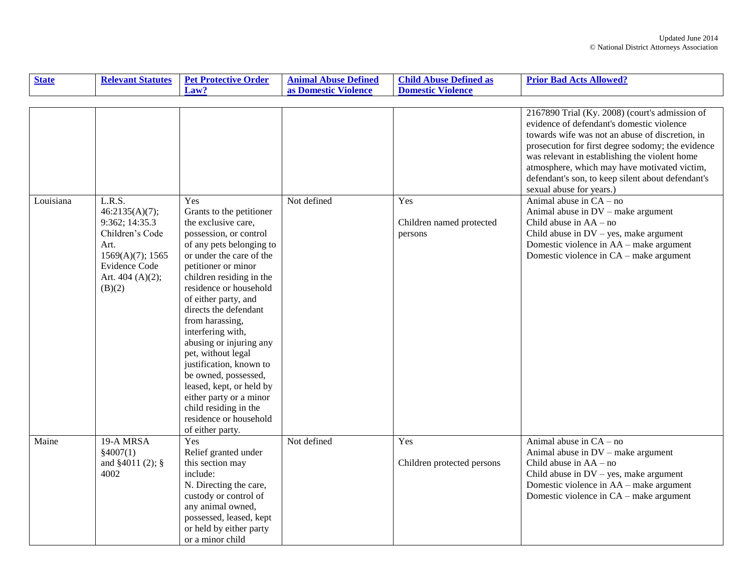| <b>State</b> | <b>Relevant Statutes</b>                                                                                                                   | <b>Pet Protective Order</b>                                                                                                                                                                                                                                                                                                                                                                                                                                                                                                                      | <b>Animal Abuse Defined</b> | <b>Child Abuse Defined as</b>              | <b>Prior Bad Acts Allowed?</b>                                                                                                                                                                                                                                                                                                                                                        |
|--------------|--------------------------------------------------------------------------------------------------------------------------------------------|--------------------------------------------------------------------------------------------------------------------------------------------------------------------------------------------------------------------------------------------------------------------------------------------------------------------------------------------------------------------------------------------------------------------------------------------------------------------------------------------------------------------------------------------------|-----------------------------|--------------------------------------------|---------------------------------------------------------------------------------------------------------------------------------------------------------------------------------------------------------------------------------------------------------------------------------------------------------------------------------------------------------------------------------------|
|              |                                                                                                                                            | Law?                                                                                                                                                                                                                                                                                                                                                                                                                                                                                                                                             | as Domestic Violence        | <b>Domestic Violence</b>                   |                                                                                                                                                                                                                                                                                                                                                                                       |
|              |                                                                                                                                            |                                                                                                                                                                                                                                                                                                                                                                                                                                                                                                                                                  |                             |                                            |                                                                                                                                                                                                                                                                                                                                                                                       |
|              |                                                                                                                                            |                                                                                                                                                                                                                                                                                                                                                                                                                                                                                                                                                  |                             |                                            | 2167890 Trial (Ky. 2008) (court's admission of<br>evidence of defendant's domestic violence<br>towards wife was not an abuse of discretion, in<br>prosecution for first degree sodomy; the evidence<br>was relevant in establishing the violent home<br>atmosphere, which may have motivated victim,<br>defendant's son, to keep silent about defendant's<br>sexual abuse for years.) |
| Louisiana    | L.R.S.<br>46:2135(A)(7);<br>9:362; 14:35.3<br>Children's Code<br>Art.<br>1569(A)(7); 1565<br>Evidence Code<br>Art. $404(A)(2)$ ;<br>(B)(2) | Yes<br>Grants to the petitioner<br>the exclusive care,<br>possession, or control<br>of any pets belonging to<br>or under the care of the<br>petitioner or minor<br>children residing in the<br>residence or household<br>of either party, and<br>directs the defendant<br>from harassing,<br>interfering with,<br>abusing or injuring any<br>pet, without legal<br>justification, known to<br>be owned, possessed,<br>leased, kept, or held by<br>either party or a minor<br>child residing in the<br>residence or household<br>of either party. | Not defined                 | Yes<br>Children named protected<br>persons | Animal abuse in $CA - no$<br>Animal abuse in DV - make argument<br>Child abuse in $AA - no$<br>Child abuse in DV - yes, make argument<br>Domestic violence in AA - make argument<br>Domestic violence in CA – make argument                                                                                                                                                           |
| Maine        | 19-A MRSA<br>\$4007(1)<br>and $§4011(2);$ §<br>4002                                                                                        | Yes<br>Relief granted under<br>this section may<br>include:<br>N. Directing the care,<br>custody or control of<br>any animal owned,<br>possessed, leased, kept<br>or held by either party<br>or a minor child                                                                                                                                                                                                                                                                                                                                    | Not defined                 | <b>Yes</b><br>Children protected persons   | Animal abuse in $CA - no$<br>Animal abuse in DV – make argument<br>Child abuse in $AA - no$<br>Child abuse in $DV$ – yes, make argument<br>Domestic violence in AA – make argument<br>Domestic violence in CA – make argument                                                                                                                                                         |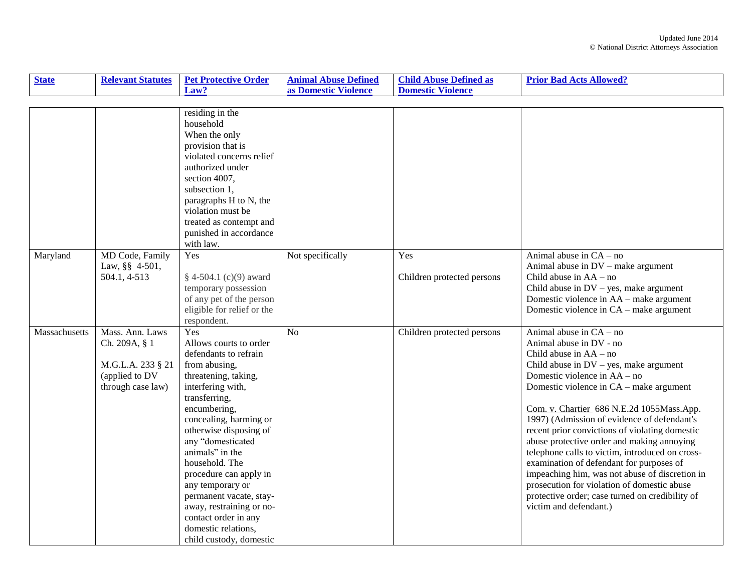| <b>State</b>  | <b>Relevant Statutes</b>                                                                     | <b>Pet Protective Order</b>                                                                                                                                                                                                                                                                                                                                                                                                                        | <b>Animal Abuse Defined</b> | <b>Child Abuse Defined as</b>     | <b>Prior Bad Acts Allowed?</b>                                                                                                                                                                                                                                                                                                                                                                                                                                                                                                                                                                                                                                                 |
|---------------|----------------------------------------------------------------------------------------------|----------------------------------------------------------------------------------------------------------------------------------------------------------------------------------------------------------------------------------------------------------------------------------------------------------------------------------------------------------------------------------------------------------------------------------------------------|-----------------------------|-----------------------------------|--------------------------------------------------------------------------------------------------------------------------------------------------------------------------------------------------------------------------------------------------------------------------------------------------------------------------------------------------------------------------------------------------------------------------------------------------------------------------------------------------------------------------------------------------------------------------------------------------------------------------------------------------------------------------------|
|               |                                                                                              | Law?                                                                                                                                                                                                                                                                                                                                                                                                                                               | as Domestic Violence        | <b>Domestic Violence</b>          |                                                                                                                                                                                                                                                                                                                                                                                                                                                                                                                                                                                                                                                                                |
|               |                                                                                              |                                                                                                                                                                                                                                                                                                                                                                                                                                                    |                             |                                   |                                                                                                                                                                                                                                                                                                                                                                                                                                                                                                                                                                                                                                                                                |
|               |                                                                                              | residing in the<br>household<br>When the only<br>provision that is<br>violated concerns relief<br>authorized under<br>section 4007,<br>subsection 1,<br>paragraphs H to N, the<br>violation must be<br>treated as contempt and<br>punished in accordance<br>with law.                                                                                                                                                                              |                             |                                   |                                                                                                                                                                                                                                                                                                                                                                                                                                                                                                                                                                                                                                                                                |
| Maryland      | MD Code, Family<br>Law, §§ 4-501,<br>504.1, 4-513                                            | Yes<br>$§$ 4-504.1 (c)(9) award<br>temporary possession<br>of any pet of the person<br>eligible for relief or the<br>respondent.                                                                                                                                                                                                                                                                                                                   | Not specifically            | Yes<br>Children protected persons | Animal abuse in $CA - no$<br>Animal abuse in $DV$ – make argument<br>Child abuse in $AA - no$<br>Child abuse in $DV$ – yes, make argument<br>Domestic violence in AA – make argument<br>Domestic violence in CA – make argument                                                                                                                                                                                                                                                                                                                                                                                                                                                |
| Massachusetts | Mass. Ann. Laws<br>Ch. 209A, § 1<br>M.G.L.A. 233 § 21<br>(applied to DV<br>through case law) | Yes<br>Allows courts to order<br>defendants to refrain<br>from abusing,<br>threatening, taking,<br>interfering with,<br>transferring,<br>encumbering,<br>concealing, harming or<br>otherwise disposing of<br>any "domesticated<br>animals" in the<br>household. The<br>procedure can apply in<br>any temporary or<br>permanent vacate, stay-<br>away, restraining or no-<br>contact order in any<br>domestic relations,<br>child custody, domestic | N <sub>o</sub>              | Children protected persons        | Animal abuse in $CA - no$<br>Animal abuse in DV - no<br>Child abuse in AA - no<br>Child abuse in $DV$ – yes, make argument<br>Domestic violence in AA – no<br>Domestic violence in CA - make argument<br>Com. v. Chartier_686 N.E.2d 1055Mass.App.<br>1997) (Admission of evidence of defendant's<br>recent prior convictions of violating domestic<br>abuse protective order and making annoying<br>telephone calls to victim, introduced on cross-<br>examination of defendant for purposes of<br>impeaching him, was not abuse of discretion in<br>prosecution for violation of domestic abuse<br>protective order; case turned on credibility of<br>victim and defendant.) |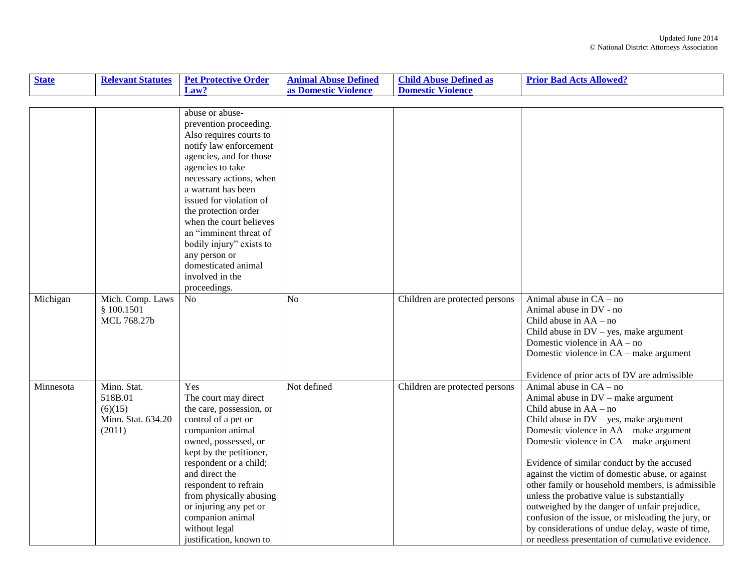| <b>State</b> | <b>Relevant Statutes</b>                                          | <b>Pet Protective Order</b>                                                                                                                                                                                                                                                                                                                                                                                   | <b>Animal Abuse Defined</b> | <b>Child Abuse Defined as</b>  | <b>Prior Bad Acts Allowed?</b>                                                                                                                                                                                                                                                                                                                                                                                                                                                                                                                                                                                                                    |
|--------------|-------------------------------------------------------------------|---------------------------------------------------------------------------------------------------------------------------------------------------------------------------------------------------------------------------------------------------------------------------------------------------------------------------------------------------------------------------------------------------------------|-----------------------------|--------------------------------|---------------------------------------------------------------------------------------------------------------------------------------------------------------------------------------------------------------------------------------------------------------------------------------------------------------------------------------------------------------------------------------------------------------------------------------------------------------------------------------------------------------------------------------------------------------------------------------------------------------------------------------------------|
|              |                                                                   | Law?                                                                                                                                                                                                                                                                                                                                                                                                          | as Domestic Violence        | <b>Domestic Violence</b>       |                                                                                                                                                                                                                                                                                                                                                                                                                                                                                                                                                                                                                                                   |
|              |                                                                   |                                                                                                                                                                                                                                                                                                                                                                                                               |                             |                                |                                                                                                                                                                                                                                                                                                                                                                                                                                                                                                                                                                                                                                                   |
|              |                                                                   | abuse or abuse-<br>prevention proceeding.<br>Also requires courts to<br>notify law enforcement<br>agencies, and for those<br>agencies to take<br>necessary actions, when<br>a warrant has been<br>issued for violation of<br>the protection order<br>when the court believes<br>an "imminent threat of<br>bodily injury" exists to<br>any person or<br>domesticated animal<br>involved in the<br>proceedings. |                             |                                |                                                                                                                                                                                                                                                                                                                                                                                                                                                                                                                                                                                                                                                   |
| Michigan     | Mich. Comp. Laws<br>§ 100.1501<br>MCL 768.27b                     | N <sub>o</sub>                                                                                                                                                                                                                                                                                                                                                                                                | N <sub>o</sub>              | Children are protected persons | Animal abuse in $CA - no$<br>Animal abuse in DV - no<br>Child abuse in $AA - no$<br>Child abuse in $DV$ – yes, make argument<br>Domestic violence in AA – no<br>Domestic violence in CA – make argument<br>Evidence of prior acts of DV are admissible                                                                                                                                                                                                                                                                                                                                                                                            |
| Minnesota    | Minn. Stat.<br>518B.01<br>(6)(15)<br>Minn. Stat. 634.20<br>(2011) | Yes<br>The court may direct<br>the care, possession, or<br>control of a pet or<br>companion animal<br>owned, possessed, or<br>kept by the petitioner,<br>respondent or a child;<br>and direct the<br>respondent to refrain<br>from physically abusing<br>or injuring any pet or<br>companion animal<br>without legal<br>justification, known to                                                               | Not defined                 | Children are protected persons | Animal abuse in $CA - no$<br>Animal abuse in DV - make argument<br>Child abuse in $AA - no$<br>Child abuse in $DV$ – yes, make argument<br>Domestic violence in AA – make argument<br>Domestic violence in CA – make argument<br>Evidence of similar conduct by the accused<br>against the victim of domestic abuse, or against<br>other family or household members, is admissible<br>unless the probative value is substantially<br>outweighed by the danger of unfair prejudice,<br>confusion of the issue, or misleading the jury, or<br>by considerations of undue delay, waste of time,<br>or needless presentation of cumulative evidence. |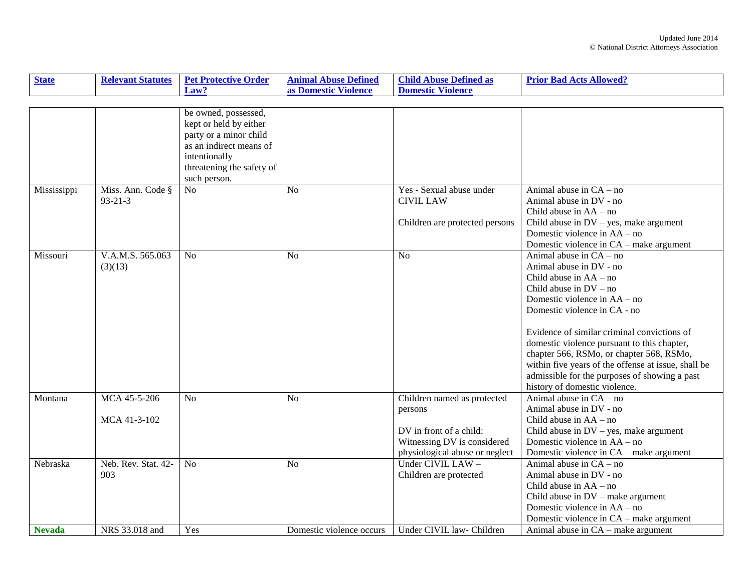| <b>State</b>  | <b>Relevant Statutes</b> | <b>Pet Protective Order</b> | <b>Animal Abuse Defined</b> | <b>Child Abuse Defined as</b>  | <b>Prior Bad Acts Allowed?</b>                      |
|---------------|--------------------------|-----------------------------|-----------------------------|--------------------------------|-----------------------------------------------------|
|               |                          | Law?                        | as Domestic Violence        | <b>Domestic Violence</b>       |                                                     |
|               |                          |                             |                             |                                |                                                     |
|               |                          | be owned, possessed,        |                             |                                |                                                     |
|               |                          | kept or held by either      |                             |                                |                                                     |
|               |                          | party or a minor child      |                             |                                |                                                     |
|               |                          | as an indirect means of     |                             |                                |                                                     |
|               |                          | intentionally               |                             |                                |                                                     |
|               |                          | threatening the safety of   |                             |                                |                                                     |
|               |                          | such person.                |                             |                                |                                                     |
| Mississippi   | Miss. Ann. Code §        | N <sub>o</sub>              | N <sub>0</sub>              | Yes - Sexual abuse under       | Animal abuse in $CA - no$                           |
|               | $93 - 21 - 3$            |                             |                             | <b>CIVIL LAW</b>               | Animal abuse in DV - no                             |
|               |                          |                             |                             |                                | Child abuse in $AA - no$                            |
|               |                          |                             |                             | Children are protected persons | Child abuse in $DV$ – yes, make argument            |
|               |                          |                             |                             |                                | Domestic violence in $AA - no$                      |
|               |                          |                             |                             |                                | Domestic violence in CA – make argument             |
| Missouri      | V.A.M.S. 565.063         | N <sub>o</sub>              | N <sub>o</sub>              | N <sub>o</sub>                 | Animal abuse in $CA - no$                           |
|               | (3)(13)                  |                             |                             |                                | Animal abuse in DV - no                             |
|               |                          |                             |                             |                                | Child abuse in $AA - no$                            |
|               |                          |                             |                             |                                | Child abuse in $DV - no$                            |
|               |                          |                             |                             |                                | Domestic violence in AA – no                        |
|               |                          |                             |                             |                                | Domestic violence in CA - no                        |
|               |                          |                             |                             |                                | Evidence of similar criminal convictions of         |
|               |                          |                             |                             |                                | domestic violence pursuant to this chapter,         |
|               |                          |                             |                             |                                | chapter 566, RSMo, or chapter 568, RSMo,            |
|               |                          |                             |                             |                                | within five years of the offense at issue, shall be |
|               |                          |                             |                             |                                | admissible for the purposes of showing a past       |
|               |                          |                             |                             |                                | history of domestic violence.                       |
| Montana       | MCA 45-5-206             | N <sub>o</sub>              | N <sub>o</sub>              | Children named as protected    | Animal abuse in $CA - no$                           |
|               |                          |                             |                             | persons                        | Animal abuse in DV - no                             |
|               | MCA 41-3-102             |                             |                             |                                | Child abuse in $AA - no$                            |
|               |                          |                             |                             | DV in front of a child:        | Child abuse in $DV$ – yes, make argument            |
|               |                          |                             |                             | Witnessing DV is considered    | Domestic violence in AA – no                        |
|               |                          |                             |                             | physiological abuse or neglect | Domestic violence in CA – make argument             |
| Nebraska      | Neb. Rev. Stat. 42-      | No                          | N <sub>o</sub>              | Under CIVIL LAW -              | Animal abuse in $CA - no$                           |
|               | 903                      |                             |                             | Children are protected         | Animal abuse in DV - no                             |
|               |                          |                             |                             |                                | Child abuse in $AA - no$                            |
|               |                          |                             |                             |                                | Child abuse in $DV$ – make argument                 |
|               |                          |                             |                             |                                | Domestic violence in AA – no                        |
|               |                          |                             |                             |                                | Domestic violence in CA – make argument             |
| <b>Nevada</b> | NRS 33.018 and           | Yes                         | Domestic violence occurs    | Under CIVIL law- Children      | Animal abuse in $CA$ – make argument                |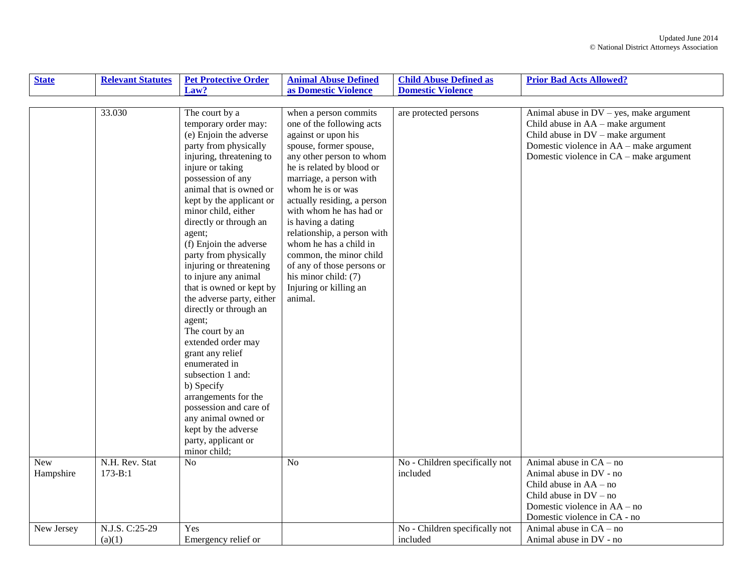| <b>State</b>     | <b>Relevant Statutes</b>      | <b>Pet Protective Order</b>                                                                                                                                                                                                                                                                                                                                                                                                                                                                                                                                                                                                                                                                                                                 | <b>Animal Abuse Defined</b>                                                                                                                                                                                                                                                                                                                                                                                                                                                 | <b>Child Abuse Defined as</b>              | <b>Prior Bad Acts Allowed?</b>                                                                                                                                                                                 |
|------------------|-------------------------------|---------------------------------------------------------------------------------------------------------------------------------------------------------------------------------------------------------------------------------------------------------------------------------------------------------------------------------------------------------------------------------------------------------------------------------------------------------------------------------------------------------------------------------------------------------------------------------------------------------------------------------------------------------------------------------------------------------------------------------------------|-----------------------------------------------------------------------------------------------------------------------------------------------------------------------------------------------------------------------------------------------------------------------------------------------------------------------------------------------------------------------------------------------------------------------------------------------------------------------------|--------------------------------------------|----------------------------------------------------------------------------------------------------------------------------------------------------------------------------------------------------------------|
|                  |                               | Law?                                                                                                                                                                                                                                                                                                                                                                                                                                                                                                                                                                                                                                                                                                                                        | as Domestic Violence                                                                                                                                                                                                                                                                                                                                                                                                                                                        | <b>Domestic Violence</b>                   |                                                                                                                                                                                                                |
|                  |                               |                                                                                                                                                                                                                                                                                                                                                                                                                                                                                                                                                                                                                                                                                                                                             |                                                                                                                                                                                                                                                                                                                                                                                                                                                                             |                                            |                                                                                                                                                                                                                |
|                  | 33.030                        | The court by a<br>temporary order may:<br>(e) Enjoin the adverse<br>party from physically<br>injuring, threatening to<br>injure or taking<br>possession of any<br>animal that is owned or<br>kept by the applicant or<br>minor child, either<br>directly or through an<br>agent;<br>(f) Enjoin the adverse<br>party from physically<br>injuring or threatening<br>to injure any animal<br>that is owned or kept by<br>the adverse party, either<br>directly or through an<br>agent;<br>The court by an<br>extended order may<br>grant any relief<br>enumerated in<br>subsection 1 and:<br>b) Specify<br>arrangements for the<br>possession and care of<br>any animal owned or<br>kept by the adverse<br>party, applicant or<br>minor child; | when a person commits<br>one of the following acts<br>against or upon his<br>spouse, former spouse,<br>any other person to whom<br>he is related by blood or<br>marriage, a person with<br>whom he is or was<br>actually residing, a person<br>with whom he has had or<br>is having a dating<br>relationship, a person with<br>whom he has a child in<br>common, the minor child<br>of any of those persons or<br>his minor child: (7)<br>Injuring or killing an<br>animal. | are protected persons                      | Animal abuse in $DV - yes$ , make argument<br>Child abuse in $AA$ – make argument<br>Child abuse in $DV$ – make argument<br>Domestic violence in AA – make argument<br>Domestic violence in CA - make argument |
| New<br>Hampshire | N.H. Rev. Stat<br>$173 - B:1$ | N <sub>o</sub>                                                                                                                                                                                                                                                                                                                                                                                                                                                                                                                                                                                                                                                                                                                              | N <sub>o</sub>                                                                                                                                                                                                                                                                                                                                                                                                                                                              | No - Children specifically not<br>included | Animal abuse in $CA - no$<br>Animal abuse in DV - no<br>Child abuse in $AA - no$<br>Child abuse in $DV - no$<br>Domestic violence in AA – no<br>Domestic violence in CA - no                                   |
| New Jersey       | N.J.S. C:25-29<br>(a)(1)      | Yes<br>Emergency relief or                                                                                                                                                                                                                                                                                                                                                                                                                                                                                                                                                                                                                                                                                                                  |                                                                                                                                                                                                                                                                                                                                                                                                                                                                             | No - Children specifically not<br>included | Animal abuse in $CA - no$<br>Animal abuse in DV - no                                                                                                                                                           |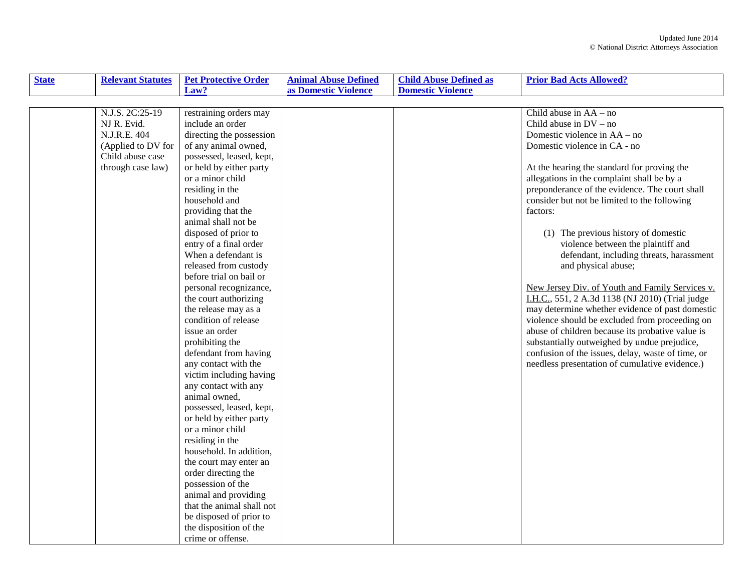| <b>State</b> | <b>Relevant Statutes</b> | <b>Pet Protective Order</b> | <b>Animal Abuse Defined</b> | <b>Child Abuse Defined as</b> | <b>Prior Bad Acts Allowed?</b>                    |
|--------------|--------------------------|-----------------------------|-----------------------------|-------------------------------|---------------------------------------------------|
|              |                          | Law?                        | as Domestic Violence        | <b>Domestic Violence</b>      |                                                   |
|              |                          |                             |                             |                               |                                                   |
|              | N.J.S. 2C:25-19          | restraining orders may      |                             |                               | Child abuse in $AA - no$                          |
|              | NJ R. Evid.              | include an order            |                             |                               | Child abuse in $DV - no$                          |
|              | N.J.R.E. 404             | directing the possession    |                             |                               | Domestic violence in AA – no                      |
|              | (Applied to DV for       | of any animal owned,        |                             |                               | Domestic violence in CA - no                      |
|              | Child abuse case         | possessed, leased, kept,    |                             |                               |                                                   |
|              | through case law)        | or held by either party     |                             |                               | At the hearing the standard for proving the       |
|              |                          | or a minor child            |                             |                               | allegations in the complaint shall be by a        |
|              |                          | residing in the             |                             |                               | preponderance of the evidence. The court shall    |
|              |                          | household and               |                             |                               | consider but not be limited to the following      |
|              |                          | providing that the          |                             |                               | factors:                                          |
|              |                          | animal shall not be         |                             |                               |                                                   |
|              |                          | disposed of prior to        |                             |                               | (1) The previous history of domestic              |
|              |                          | entry of a final order      |                             |                               | violence between the plaintiff and                |
|              |                          | When a defendant is         |                             |                               | defendant, including threats, harassment          |
|              |                          | released from custody       |                             |                               | and physical abuse;                               |
|              |                          | before trial on bail or     |                             |                               |                                                   |
|              |                          | personal recognizance,      |                             |                               | New Jersey Div. of Youth and Family Services v.   |
|              |                          | the court authorizing       |                             |                               | I.H.C., 551, 2 A.3d 1138 (NJ 2010) (Trial judge   |
|              |                          | the release may as a        |                             |                               | may determine whether evidence of past domestic   |
|              |                          | condition of release        |                             |                               | violence should be excluded from proceeding on    |
|              |                          | issue an order              |                             |                               | abuse of children because its probative value is  |
|              |                          | prohibiting the             |                             |                               | substantially outweighed by undue prejudice,      |
|              |                          | defendant from having       |                             |                               | confusion of the issues, delay, waste of time, or |
|              |                          | any contact with the        |                             |                               | needless presentation of cumulative evidence.)    |
|              |                          | victim including having     |                             |                               |                                                   |
|              |                          | any contact with any        |                             |                               |                                                   |
|              |                          | animal owned,               |                             |                               |                                                   |
|              |                          | possessed, leased, kept,    |                             |                               |                                                   |
|              |                          | or held by either party     |                             |                               |                                                   |
|              |                          | or a minor child            |                             |                               |                                                   |
|              |                          | residing in the             |                             |                               |                                                   |
|              |                          | household. In addition,     |                             |                               |                                                   |
|              |                          | the court may enter an      |                             |                               |                                                   |
|              |                          | order directing the         |                             |                               |                                                   |
|              |                          | possession of the           |                             |                               |                                                   |
|              |                          | animal and providing        |                             |                               |                                                   |
|              |                          | that the animal shall not   |                             |                               |                                                   |
|              |                          | be disposed of prior to     |                             |                               |                                                   |
|              |                          | the disposition of the      |                             |                               |                                                   |
|              |                          | crime or offense.           |                             |                               |                                                   |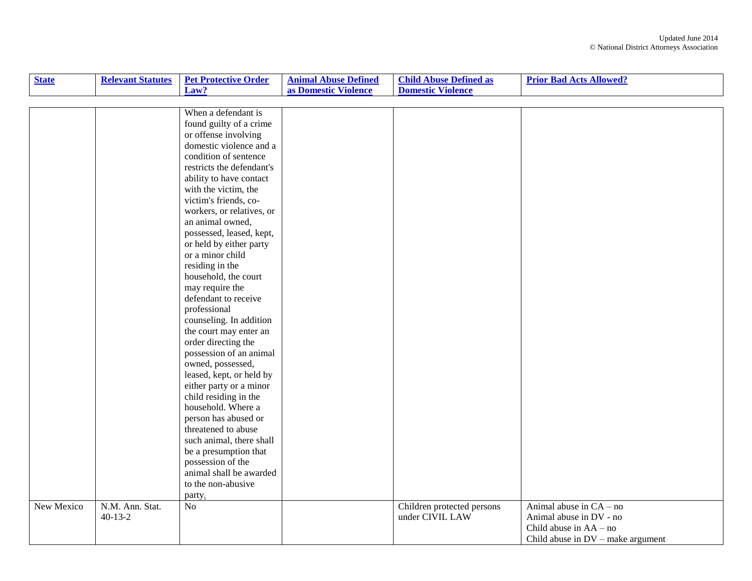| <b>State</b> | <b>Relevant Statutes</b> | <b>Pet Protective Order</b> | <b>Animal Abuse Defined</b> | <b>Child Abuse Defined as</b> | <b>Prior Bad Acts Allowed?</b>      |
|--------------|--------------------------|-----------------------------|-----------------------------|-------------------------------|-------------------------------------|
|              |                          | Law?                        | as Domestic Violence        | <b>Domestic Violence</b>      |                                     |
|              |                          |                             |                             |                               |                                     |
|              |                          | When a defendant is         |                             |                               |                                     |
|              |                          | found guilty of a crime     |                             |                               |                                     |
|              |                          | or offense involving        |                             |                               |                                     |
|              |                          | domestic violence and a     |                             |                               |                                     |
|              |                          | condition of sentence       |                             |                               |                                     |
|              |                          | restricts the defendant's   |                             |                               |                                     |
|              |                          | ability to have contact     |                             |                               |                                     |
|              |                          | with the victim, the        |                             |                               |                                     |
|              |                          | victim's friends, co-       |                             |                               |                                     |
|              |                          | workers, or relatives, or   |                             |                               |                                     |
|              |                          | an animal owned,            |                             |                               |                                     |
|              |                          | possessed, leased, kept,    |                             |                               |                                     |
|              |                          | or held by either party     |                             |                               |                                     |
|              |                          | or a minor child            |                             |                               |                                     |
|              |                          | residing in the             |                             |                               |                                     |
|              |                          | household, the court        |                             |                               |                                     |
|              |                          | may require the             |                             |                               |                                     |
|              |                          | defendant to receive        |                             |                               |                                     |
|              |                          | professional                |                             |                               |                                     |
|              |                          | counseling. In addition     |                             |                               |                                     |
|              |                          | the court may enter an      |                             |                               |                                     |
|              |                          | order directing the         |                             |                               |                                     |
|              |                          | possession of an animal     |                             |                               |                                     |
|              |                          | owned, possessed,           |                             |                               |                                     |
|              |                          | leased, kept, or held by    |                             |                               |                                     |
|              |                          | either party or a minor     |                             |                               |                                     |
|              |                          | child residing in the       |                             |                               |                                     |
|              |                          | household. Where a          |                             |                               |                                     |
|              |                          | person has abused or        |                             |                               |                                     |
|              |                          | threatened to abuse         |                             |                               |                                     |
|              |                          | such animal, there shall    |                             |                               |                                     |
|              |                          | be a presumption that       |                             |                               |                                     |
|              |                          | possession of the           |                             |                               |                                     |
|              |                          | animal shall be awarded     |                             |                               |                                     |
|              |                          | to the non-abusive          |                             |                               |                                     |
|              |                          | party.                      |                             |                               |                                     |
| New Mexico   | N.M. Ann. Stat.          | No                          |                             | Children protected persons    | Animal abuse in $CA - no$           |
|              | $40 - 13 - 2$            |                             |                             | under CIVIL LAW               | Animal abuse in DV - no             |
|              |                          |                             |                             |                               | Child abuse in AA - no              |
|              |                          |                             |                             |                               | Child abuse in $DV$ – make argument |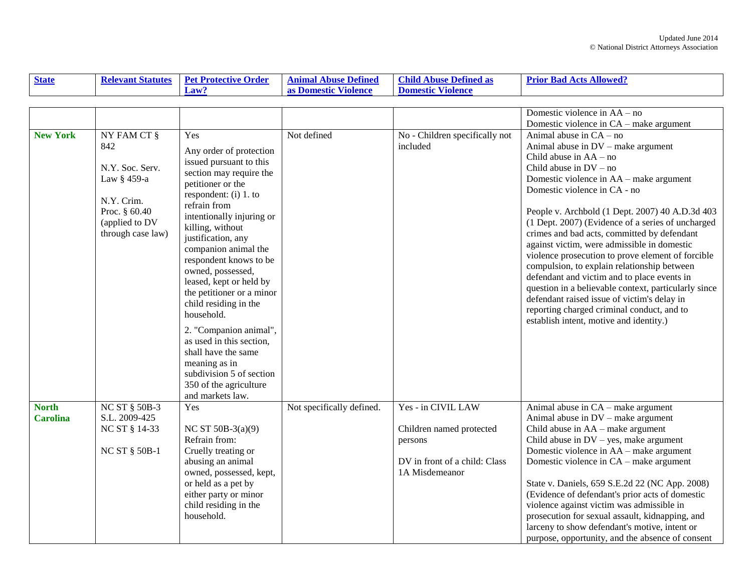| <b>State</b> | <b>Relevant Statutes</b> | <b>Pet Protective Order</b> | <b>Animal Abuse Defined</b>       | Child.<br>Abuse Defined as  | <b>Acts Allowed?</b><br><b>Prior Bad</b> |
|--------------|--------------------------|-----------------------------|-----------------------------------|-----------------------------|------------------------------------------|
|              |                          | Law:                        | $TT^*$<br>Violence<br>as Domestic | Violence<br><b>Domestic</b> |                                          |

|                 |                      |                                                      |                           |                                | Domestic violence in AA – no                         |
|-----------------|----------------------|------------------------------------------------------|---------------------------|--------------------------------|------------------------------------------------------|
|                 |                      |                                                      |                           |                                | Domestic violence in CA - make argument              |
| <b>New York</b> | NY FAM CT §          | Yes                                                  | Not defined               | No - Children specifically not | Animal abuse in $CA - no$                            |
|                 | 842                  |                                                      |                           | included                       | Animal abuse in DV - make argument                   |
|                 |                      | Any order of protection                              |                           |                                | Child abuse in AA - no                               |
|                 | N.Y. Soc. Serv.      | issued pursuant to this                              |                           |                                | Child abuse in $DV - no$                             |
|                 | Law § 459-a          | section may require the                              |                           |                                | Domestic violence in AA - make argument              |
|                 |                      | petitioner or the                                    |                           |                                | Domestic violence in CA - no                         |
|                 | N.Y. Crim.           | respondent: (i) 1. to                                |                           |                                |                                                      |
|                 | Proc. § 60.40        | refrain from                                         |                           |                                | People v. Archbold (1 Dept. 2007) 40 A.D.3d 403      |
|                 | (applied to DV       | intentionally injuring or                            |                           |                                | (1 Dept. 2007) (Evidence of a series of uncharged    |
|                 | through case law)    | killing, without                                     |                           |                                | crimes and bad acts, committed by defendant          |
|                 |                      | justification, any                                   |                           |                                | against victim, were admissible in domestic          |
|                 |                      | companion animal the                                 |                           |                                | violence prosecution to prove element of forcible    |
|                 |                      | respondent knows to be<br>owned, possessed,          |                           |                                | compulsion, to explain relationship between          |
|                 |                      |                                                      |                           |                                | defendant and victim and to place events in          |
|                 |                      | leased, kept or held by<br>the petitioner or a minor |                           |                                | question in a believable context, particularly since |
|                 |                      | child residing in the                                |                           |                                | defendant raised issue of victim's delay in          |
|                 |                      | household.                                           |                           |                                | reporting charged criminal conduct, and to           |
|                 |                      |                                                      |                           |                                | establish intent, motive and identity.)              |
|                 |                      | 2. "Companion animal",                               |                           |                                |                                                      |
|                 |                      | as used in this section,                             |                           |                                |                                                      |
|                 |                      | shall have the same                                  |                           |                                |                                                      |
|                 |                      | meaning as in                                        |                           |                                |                                                      |
|                 |                      | subdivision 5 of section                             |                           |                                |                                                      |
|                 |                      | 350 of the agriculture                               |                           |                                |                                                      |
|                 |                      | and markets law.                                     |                           |                                |                                                      |
| <b>North</b>    | <b>NC ST § 50B-3</b> | Yes                                                  | Not specifically defined. | Yes - in CIVIL LAW             | Animal abuse in CA – make argument                   |
| <b>Carolina</b> | S.L. 2009-425        |                                                      |                           |                                | Animal abuse in DV – make argument                   |
|                 | NC ST § 14-33        | NC ST $50B-3(a)(9)$                                  |                           | Children named protected       | Child abuse in $AA$ – make argument                  |
|                 |                      | Refrain from:                                        |                           | persons                        | Child abuse in $DV$ – yes, make argument             |
|                 | <b>NC ST § 50B-1</b> | Cruelly treating or                                  |                           |                                | Domestic violence in AA – make argument              |
|                 |                      | abusing an animal                                    |                           | DV in front of a child: Class  | Domestic violence in CA – make argument              |
|                 |                      | owned, possessed, kept,                              |                           | 1A Misdemeanor                 |                                                      |
|                 |                      | or held as a pet by                                  |                           |                                | State v. Daniels, 659 S.E.2d 22 (NC App. 2008)       |
|                 |                      | either party or minor                                |                           |                                | (Evidence of defendant's prior acts of domestic      |
|                 |                      | child residing in the                                |                           |                                | violence against victim was admissible in            |
|                 |                      | household.                                           |                           |                                | prosecution for sexual assault, kidnapping, and      |
|                 |                      |                                                      |                           |                                | larceny to show defendant's motive, intent or        |
|                 |                      |                                                      |                           |                                | purpose, opportunity, and the absence of consent     |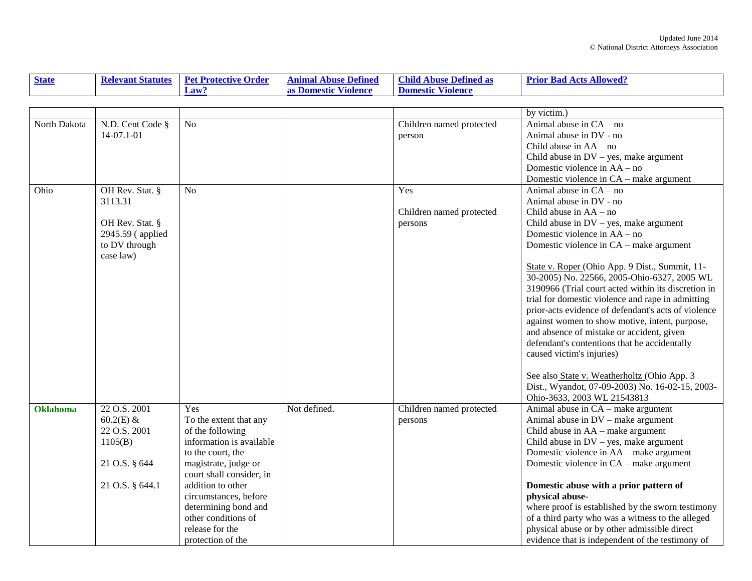| <b>State</b>    | <b>Relevant Statutes</b> | <b>Pet Protective Order</b> | <b>Animal Abuse Defined</b> | <b>Child Abuse Defined as</b> | <b>Prior Bad Acts Allowed?</b>                      |
|-----------------|--------------------------|-----------------------------|-----------------------------|-------------------------------|-----------------------------------------------------|
|                 |                          | Law?                        | as Domestic Violence        | <b>Domestic Violence</b>      |                                                     |
|                 |                          |                             |                             |                               |                                                     |
|                 |                          |                             |                             |                               | by victim.)                                         |
| North Dakota    | N.D. Cent Code §         | N <sub>o</sub>              |                             | Children named protected      | Animal abuse in $CA - no$                           |
|                 | 14-07.1-01               |                             |                             | person                        | Animal abuse in DV - no                             |
|                 |                          |                             |                             |                               | Child abuse in $AA - no$                            |
|                 |                          |                             |                             |                               | Child abuse in $DV$ – yes, make argument            |
|                 |                          |                             |                             |                               | Domestic violence in AA – no                        |
|                 |                          |                             |                             |                               | Domestic violence in CA – make argument             |
| Ohio            | OH Rev. Stat. §          | N <sub>0</sub>              |                             | Yes                           | Animal abuse in $CA - no$                           |
|                 | 3113.31                  |                             |                             |                               | Animal abuse in DV - no                             |
|                 |                          |                             |                             | Children named protected      | Child abuse in $AA - no$                            |
|                 | OH Rev. Stat. §          |                             |                             | persons                       | Child abuse in $DV$ – yes, make argument            |
|                 | 2945.59 (applied         |                             |                             |                               | Domestic violence in AA – no                        |
|                 | to DV through            |                             |                             |                               | Domestic violence in CA - make argument             |
|                 | case law)                |                             |                             |                               |                                                     |
|                 |                          |                             |                             |                               | State v. Roper (Ohio App. 9 Dist., Summit, 11-      |
|                 |                          |                             |                             |                               | 30-2005) No. 22566, 2005-Ohio-6327, 2005 WL         |
|                 |                          |                             |                             |                               | 3190966 (Trial court acted within its discretion in |
|                 |                          |                             |                             |                               | trial for domestic violence and rape in admitting   |
|                 |                          |                             |                             |                               | prior-acts evidence of defendant's acts of violence |
|                 |                          |                             |                             |                               | against women to show motive, intent, purpose,      |
|                 |                          |                             |                             |                               | and absence of mistake or accident, given           |
|                 |                          |                             |                             |                               | defendant's contentions that he accidentally        |
|                 |                          |                             |                             |                               | caused victim's injuries)                           |
|                 |                          |                             |                             |                               |                                                     |
|                 |                          |                             |                             |                               | See also State v. Weatherholtz (Ohio App. 3         |
|                 |                          |                             |                             |                               | Dist., Wyandot, 07-09-2003) No. 16-02-15, 2003-     |
|                 |                          |                             |                             |                               | Ohio-3633, 2003 WL 21543813                         |
| <b>Oklahoma</b> | 22 O.S. 2001             | Yes                         | Not defined.                | Children named protected      | Animal abuse in CA - make argument                  |
|                 | $60.2(E)$ &              | To the extent that any      |                             | persons                       | Animal abuse in DV - make argument                  |
|                 | 22 O.S. 2001             | of the following            |                             |                               | Child abuse in AA – make argument                   |
|                 | 1105(B)                  | information is available    |                             |                               | Child abuse in $DV$ – yes, make argument            |
|                 |                          | to the court, the           |                             |                               | Domestic violence in AA – make argument             |
|                 | 21 O.S. § 644            | magistrate, judge or        |                             |                               | Domestic violence in CA – make argument             |
|                 |                          | court shall consider, in    |                             |                               |                                                     |
|                 | 21 O.S. § 644.1          | addition to other           |                             |                               | Domestic abuse with a prior pattern of              |
|                 |                          | circumstances, before       |                             |                               | physical abuse-                                     |
|                 |                          | determining bond and        |                             |                               | where proof is established by the sworn testimony   |
|                 |                          | other conditions of         |                             |                               | of a third party who was a witness to the alleged   |
|                 |                          | release for the             |                             |                               | physical abuse or by other admissible direct        |
|                 |                          | protection of the           |                             |                               | evidence that is independent of the testimony of    |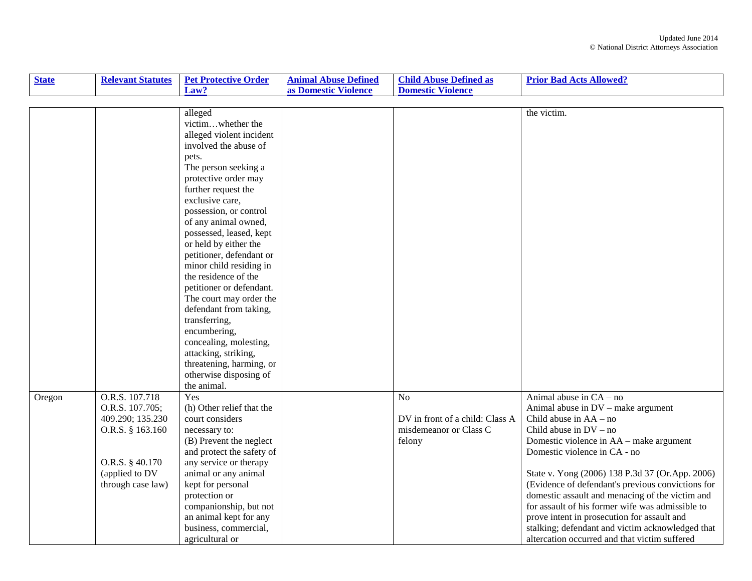| <b>State</b> | <b>Relevant Statutes</b> | <b>Pet Protective Order</b> | <b>Animal Abuse Defined</b> | <b>Child Abuse Defined as</b>   | <b>Prior Bad Acts Allowed?</b>                    |
|--------------|--------------------------|-----------------------------|-----------------------------|---------------------------------|---------------------------------------------------|
|              |                          | Law?                        | as Domestic Violence        | <b>Domestic Violence</b>        |                                                   |
|              |                          |                             |                             |                                 |                                                   |
|              |                          | alleged                     |                             |                                 | the victim.                                       |
|              |                          | victimwhether the           |                             |                                 |                                                   |
|              |                          | alleged violent incident    |                             |                                 |                                                   |
|              |                          | involved the abuse of       |                             |                                 |                                                   |
|              |                          | pets.                       |                             |                                 |                                                   |
|              |                          | The person seeking a        |                             |                                 |                                                   |
|              |                          | protective order may        |                             |                                 |                                                   |
|              |                          | further request the         |                             |                                 |                                                   |
|              |                          | exclusive care,             |                             |                                 |                                                   |
|              |                          | possession, or control      |                             |                                 |                                                   |
|              |                          | of any animal owned,        |                             |                                 |                                                   |
|              |                          | possessed, leased, kept     |                             |                                 |                                                   |
|              |                          | or held by either the       |                             |                                 |                                                   |
|              |                          | petitioner, defendant or    |                             |                                 |                                                   |
|              |                          | minor child residing in     |                             |                                 |                                                   |
|              |                          | the residence of the        |                             |                                 |                                                   |
|              |                          | petitioner or defendant.    |                             |                                 |                                                   |
|              |                          | The court may order the     |                             |                                 |                                                   |
|              |                          | defendant from taking,      |                             |                                 |                                                   |
|              |                          | transferring,               |                             |                                 |                                                   |
|              |                          | encumbering,                |                             |                                 |                                                   |
|              |                          | concealing, molesting,      |                             |                                 |                                                   |
|              |                          | attacking, striking,        |                             |                                 |                                                   |
|              |                          | threatening, harming, or    |                             |                                 |                                                   |
|              |                          | otherwise disposing of      |                             |                                 |                                                   |
|              |                          | the animal.                 |                             |                                 |                                                   |
| Oregon       | O.R.S. 107.718           | Yes                         |                             | N <sub>o</sub>                  | Animal abuse in $CA - no$                         |
|              | O.R.S. 107.705;          | (h) Other relief that the   |                             |                                 | Animal abuse in DV - make argument                |
|              | 409.290; 135.230         | court considers             |                             | DV in front of a child: Class A | Child abuse in $AA - no$                          |
|              | O.R.S. § 163.160         | necessary to:               |                             | misdemeanor or Class C          | Child abuse in $DV - no$                          |
|              |                          | (B) Prevent the neglect     |                             | felony                          | Domestic violence in AA – make argument           |
|              |                          | and protect the safety of   |                             |                                 | Domestic violence in CA - no                      |
|              | O.R.S. § 40.170          | any service or therapy      |                             |                                 |                                                   |
|              | (applied to DV           | animal or any animal        |                             |                                 | State v. Yong (2006) 138 P.3d 37 (Or.App. 2006)   |
|              | through case law)        | kept for personal           |                             |                                 | (Evidence of defendant's previous convictions for |
|              |                          | protection or               |                             |                                 | domestic assault and menacing of the victim and   |
|              |                          | companionship, but not      |                             |                                 | for assault of his former wife was admissible to  |
|              |                          | an animal kept for any      |                             |                                 | prove intent in prosecution for assault and       |
|              |                          | business, commercial,       |                             |                                 | stalking; defendant and victim acknowledged that  |
|              |                          | agricultural or             |                             |                                 | altercation occurred and that victim suffered     |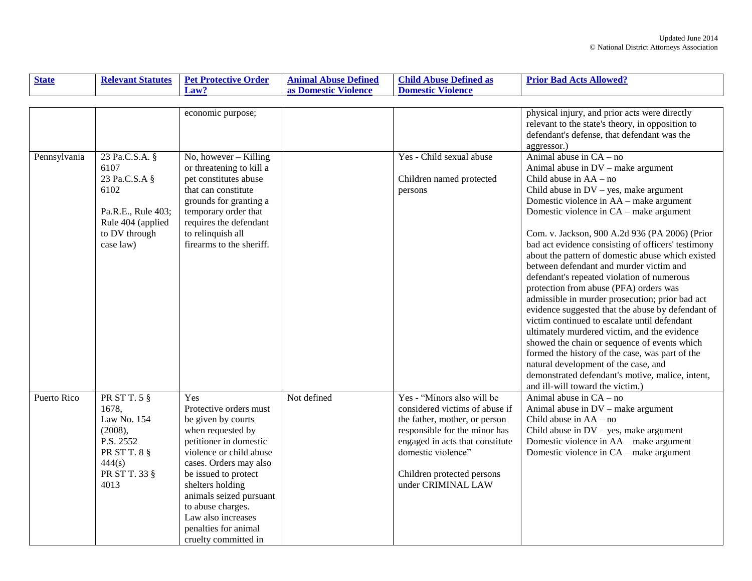| <b>State</b> | <b>Relevant Statutes</b>                                                                                           | <b>Pet Protective Order</b>                                                                                                                                                                                                                                                                                               | <b>Animal Abuse Defined</b> | <b>Child Abuse Defined as</b>                                                                                                                                                                                                               | <b>Prior Bad Acts Allowed?</b>                                                                                                                                                                                                                                                                                                                                                                                                                                                                                                                                                                                                                                                                                                                                                                                                                                                                                                              |
|--------------|--------------------------------------------------------------------------------------------------------------------|---------------------------------------------------------------------------------------------------------------------------------------------------------------------------------------------------------------------------------------------------------------------------------------------------------------------------|-----------------------------|---------------------------------------------------------------------------------------------------------------------------------------------------------------------------------------------------------------------------------------------|---------------------------------------------------------------------------------------------------------------------------------------------------------------------------------------------------------------------------------------------------------------------------------------------------------------------------------------------------------------------------------------------------------------------------------------------------------------------------------------------------------------------------------------------------------------------------------------------------------------------------------------------------------------------------------------------------------------------------------------------------------------------------------------------------------------------------------------------------------------------------------------------------------------------------------------------|
|              |                                                                                                                    | Law?                                                                                                                                                                                                                                                                                                                      | as Domestic Violence        | <b>Domestic Violence</b>                                                                                                                                                                                                                    |                                                                                                                                                                                                                                                                                                                                                                                                                                                                                                                                                                                                                                                                                                                                                                                                                                                                                                                                             |
|              |                                                                                                                    |                                                                                                                                                                                                                                                                                                                           |                             |                                                                                                                                                                                                                                             |                                                                                                                                                                                                                                                                                                                                                                                                                                                                                                                                                                                                                                                                                                                                                                                                                                                                                                                                             |
| Pennsylvania | 23 Pa.C.S.A. §                                                                                                     | economic purpose;<br>$No, however - Killing$                                                                                                                                                                                                                                                                              |                             | Yes - Child sexual abuse                                                                                                                                                                                                                    | physical injury, and prior acts were directly<br>relevant to the state's theory, in opposition to<br>defendant's defense, that defendant was the<br>aggressor.)<br>Animal abuse in $CA - no$                                                                                                                                                                                                                                                                                                                                                                                                                                                                                                                                                                                                                                                                                                                                                |
|              | 6107<br>23 Pa.C.S.A §<br>6102<br>Pa.R.E., Rule 403;<br>Rule 404 (applied<br>to DV through<br>case law)             | or threatening to kill a<br>pet constitutes abuse<br>that can constitute<br>grounds for granting a<br>temporary order that<br>requires the defendant<br>to relinquish all<br>firearms to the sheriff.                                                                                                                     |                             | Children named protected<br>persons                                                                                                                                                                                                         | Animal abuse in DV – make argument<br>Child abuse in $AA - no$<br>Child abuse in $DV$ – yes, make argument<br>Domestic violence in AA – make argument<br>Domestic violence in CA – make argument<br>Com. v. Jackson, 900 A.2d 936 (PA 2006) (Prior<br>bad act evidence consisting of officers' testimony<br>about the pattern of domestic abuse which existed<br>between defendant and murder victim and<br>defendant's repeated violation of numerous<br>protection from abuse (PFA) orders was<br>admissible in murder prosecution; prior bad act<br>evidence suggested that the abuse by defendant of<br>victim continued to escalate until defendant<br>ultimately murdered victim, and the evidence<br>showed the chain or sequence of events which<br>formed the history of the case, was part of the<br>natural development of the case, and<br>demonstrated defendant's motive, malice, intent,<br>and ill-will toward the victim.) |
| Puerto Rico  | PR ST T. $5 \S$<br>1678.<br>Law No. 154<br>(2008),<br>P.S. 2552<br>PR ST T. 8 §<br>444(s)<br>PR ST T. 33 §<br>4013 | Yes<br>Protective orders must<br>be given by courts<br>when requested by<br>petitioner in domestic<br>violence or child abuse<br>cases. Orders may also<br>be issued to protect<br>shelters holding<br>animals seized pursuant<br>to abuse charges.<br>Law also increases<br>penalties for animal<br>cruelty committed in | Not defined                 | Yes - "Minors also will be<br>considered victims of abuse if<br>the father, mother, or person<br>responsible for the minor has<br>engaged in acts that constitute<br>domestic violence"<br>Children protected persons<br>under CRIMINAL LAW | Animal abuse in $CA - no$<br>Animal abuse in DV – make argument<br>Child abuse in $AA - no$<br>Child abuse in $DV$ – yes, make argument<br>Domestic violence in AA – make argument<br>Domestic violence in CA - make argument                                                                                                                                                                                                                                                                                                                                                                                                                                                                                                                                                                                                                                                                                                               |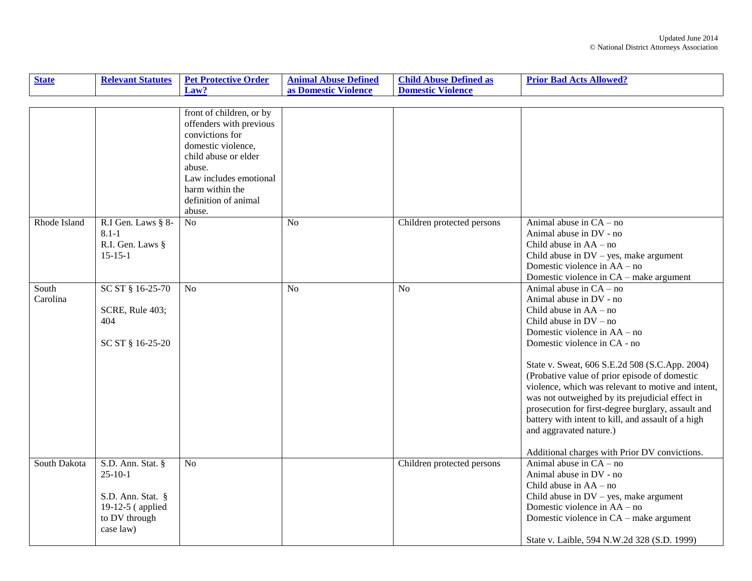| <b>State</b>      | <b>Relevant Statutes</b>                                                                              | <b>Pet Protective Order</b>                                                                                                                                                                                                      | <b>Animal Abuse Defined</b> | <b>Child Abuse Defined as</b> | <b>Prior Bad Acts Allowed?</b>                                                                                                                                                                                                                                                                                                                                                                                                                                                                                                                                                   |
|-------------------|-------------------------------------------------------------------------------------------------------|----------------------------------------------------------------------------------------------------------------------------------------------------------------------------------------------------------------------------------|-----------------------------|-------------------------------|----------------------------------------------------------------------------------------------------------------------------------------------------------------------------------------------------------------------------------------------------------------------------------------------------------------------------------------------------------------------------------------------------------------------------------------------------------------------------------------------------------------------------------------------------------------------------------|
|                   |                                                                                                       | Law?                                                                                                                                                                                                                             | as Domestic Violence        | <b>Domestic Violence</b>      |                                                                                                                                                                                                                                                                                                                                                                                                                                                                                                                                                                                  |
|                   |                                                                                                       |                                                                                                                                                                                                                                  |                             |                               |                                                                                                                                                                                                                                                                                                                                                                                                                                                                                                                                                                                  |
| Rhode Island      | R.I Gen. Laws § 8-<br>$8.1 - 1$                                                                       | front of children, or by<br>offenders with previous<br>convictions for<br>domestic violence,<br>child abuse or elder<br>abuse.<br>Law includes emotional<br>harm within the<br>definition of animal<br>abuse.<br>$\overline{No}$ | N <sub>o</sub>              | Children protected persons    | Animal abuse in $CA - no$<br>Animal abuse in DV - no                                                                                                                                                                                                                                                                                                                                                                                                                                                                                                                             |
|                   | R.I. Gen. Laws §<br>$15-15-1$                                                                         |                                                                                                                                                                                                                                  |                             |                               | Child abuse in $AA - no$<br>Child abuse in $DV$ – yes, make argument<br>Domestic violence in AA – no<br>Domestic violence in CA – make argument                                                                                                                                                                                                                                                                                                                                                                                                                                  |
| South<br>Carolina | SC ST § 16-25-70<br>SCRE, Rule 403;<br>404<br>SC ST § 16-25-20                                        | N <sub>0</sub>                                                                                                                                                                                                                   | No                          | No                            | Animal abuse in $CA - no$<br>Animal abuse in DV - no<br>Child abuse in $AA - no$<br>Child abuse in $DV - no$<br>Domestic violence in AA – no<br>Domestic violence in CA - no<br>State v. Sweat, 606 S.E.2d 508 (S.C.App. 2004)<br>(Probative value of prior episode of domestic<br>violence, which was relevant to motive and intent,<br>was not outweighed by its prejudicial effect in<br>prosecution for first-degree burglary, assault and<br>battery with intent to kill, and assault of a high<br>and aggravated nature.)<br>Additional charges with Prior DV convictions. |
| South Dakota      | S.D. Ann. Stat. §<br>$25-10-1$<br>S.D. Ann. Stat. §<br>19-12-5 (applied<br>to DV through<br>case law) | No                                                                                                                                                                                                                               |                             | Children protected persons    | Animal abuse in $CA - no$<br>Animal abuse in DV - no<br>Child abuse in $AA - no$<br>Child abuse in $DV$ – yes, make argument<br>Domestic violence in AA – no<br>Domestic violence in CA – make argument<br>State v. Laible, 594 N.W.2d 328 (S.D. 1999)                                                                                                                                                                                                                                                                                                                           |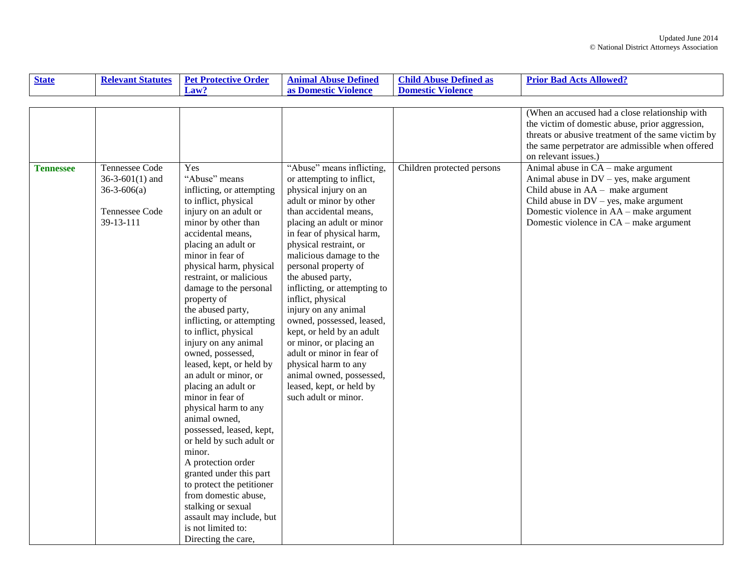| <b>State</b>     | <b>Relevant Statutes</b>                                                                 | <b>Pet Protective Order</b>                                                                                                                                                                                                                                                                                                                                                                                                                                                                                                                                                                                                                                                                                                                                                                              | <b>Animal Abuse Defined</b>                                                                                                                                                                                                                                                                                                                                                                                                                                                                                                                                                                             | <b>Child Abuse Defined as</b> | <b>Prior Bad Acts Allowed?</b>                                                                                                                                                                                                                            |
|------------------|------------------------------------------------------------------------------------------|----------------------------------------------------------------------------------------------------------------------------------------------------------------------------------------------------------------------------------------------------------------------------------------------------------------------------------------------------------------------------------------------------------------------------------------------------------------------------------------------------------------------------------------------------------------------------------------------------------------------------------------------------------------------------------------------------------------------------------------------------------------------------------------------------------|---------------------------------------------------------------------------------------------------------------------------------------------------------------------------------------------------------------------------------------------------------------------------------------------------------------------------------------------------------------------------------------------------------------------------------------------------------------------------------------------------------------------------------------------------------------------------------------------------------|-------------------------------|-----------------------------------------------------------------------------------------------------------------------------------------------------------------------------------------------------------------------------------------------------------|
|                  |                                                                                          | Law?                                                                                                                                                                                                                                                                                                                                                                                                                                                                                                                                                                                                                                                                                                                                                                                                     | as Domestic Violence                                                                                                                                                                                                                                                                                                                                                                                                                                                                                                                                                                                    | <b>Domestic Violence</b>      |                                                                                                                                                                                                                                                           |
|                  |                                                                                          |                                                                                                                                                                                                                                                                                                                                                                                                                                                                                                                                                                                                                                                                                                                                                                                                          |                                                                                                                                                                                                                                                                                                                                                                                                                                                                                                                                                                                                         |                               |                                                                                                                                                                                                                                                           |
|                  |                                                                                          |                                                                                                                                                                                                                                                                                                                                                                                                                                                                                                                                                                                                                                                                                                                                                                                                          |                                                                                                                                                                                                                                                                                                                                                                                                                                                                                                                                                                                                         |                               | (When an accused had a close relationship with<br>the victim of domestic abuse, prior aggression,<br>threats or abusive treatment of the same victim by<br>the same perpetrator are admissible when offered<br>on relevant issues.)                       |
| <b>Tennessee</b> | Tennessee Code<br>$36-3-601(1)$ and<br>$36 - 3 - 606$ (a)<br>Tennessee Code<br>39-13-111 | Yes<br>"Abuse" means<br>inflicting, or attempting<br>to inflict, physical<br>injury on an adult or<br>minor by other than<br>accidental means,<br>placing an adult or<br>minor in fear of<br>physical harm, physical<br>restraint, or malicious<br>damage to the personal<br>property of<br>the abused party,<br>inflicting, or attempting<br>to inflict, physical<br>injury on any animal<br>owned, possessed,<br>leased, kept, or held by<br>an adult or minor, or<br>placing an adult or<br>minor in fear of<br>physical harm to any<br>animal owned,<br>possessed, leased, kept,<br>or held by such adult or<br>minor.<br>A protection order<br>granted under this part<br>to protect the petitioner<br>from domestic abuse,<br>stalking or sexual<br>assault may include, but<br>is not limited to: | "Abuse" means inflicting,<br>or attempting to inflict,<br>physical injury on an<br>adult or minor by other<br>than accidental means,<br>placing an adult or minor<br>in fear of physical harm,<br>physical restraint, or<br>malicious damage to the<br>personal property of<br>the abused party,<br>inflicting, or attempting to<br>inflict, physical<br>injury on any animal<br>owned, possessed, leased,<br>kept, or held by an adult<br>or minor, or placing an<br>adult or minor in fear of<br>physical harm to any<br>animal owned, possessed,<br>leased, kept, or held by<br>such adult or minor. | Children protected persons    | Animal abuse in CA - make argument<br>Animal abuse in $DV - yes$ , make argument<br>Child abuse in $AA$ – make argument<br>Child abuse in $DV$ – yes, make argument<br>Domestic violence in AA – make argument<br>Domestic violence in CA – make argument |
|                  |                                                                                          | Directing the care,                                                                                                                                                                                                                                                                                                                                                                                                                                                                                                                                                                                                                                                                                                                                                                                      |                                                                                                                                                                                                                                                                                                                                                                                                                                                                                                                                                                                                         |                               |                                                                                                                                                                                                                                                           |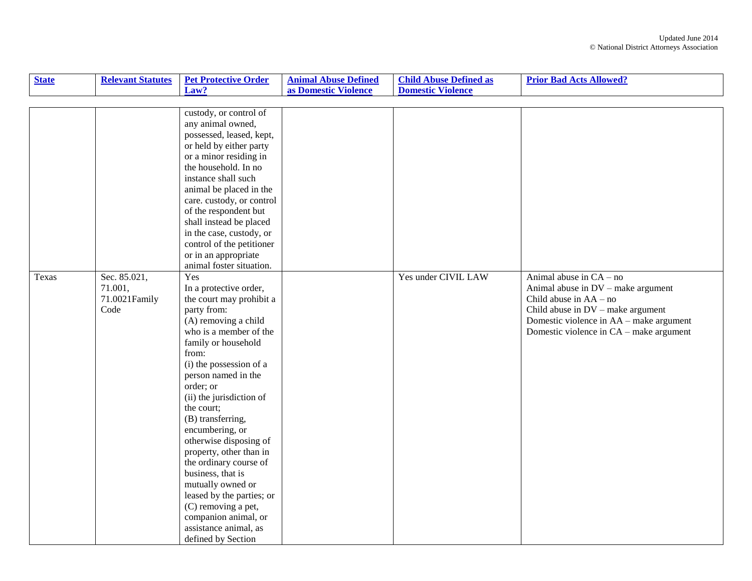| <b>State</b> | <b>Relevant Statutes</b> | <b>Pet Protective Order</b> | <b>Animal Abuse Defined</b> | <b>Child Abuse Defined as</b> | <b>Prior Bad Acts Allowed?</b>          |
|--------------|--------------------------|-----------------------------|-----------------------------|-------------------------------|-----------------------------------------|
|              |                          | Law?                        | as Domestic Violence        | <b>Domestic Violence</b>      |                                         |
|              |                          |                             |                             |                               |                                         |
|              |                          | custody, or control of      |                             |                               |                                         |
|              |                          | any animal owned,           |                             |                               |                                         |
|              |                          | possessed, leased, kept,    |                             |                               |                                         |
|              |                          | or held by either party     |                             |                               |                                         |
|              |                          | or a minor residing in      |                             |                               |                                         |
|              |                          | the household. In no        |                             |                               |                                         |
|              |                          | instance shall such         |                             |                               |                                         |
|              |                          | animal be placed in the     |                             |                               |                                         |
|              |                          | care. custody, or control   |                             |                               |                                         |
|              |                          | of the respondent but       |                             |                               |                                         |
|              |                          | shall instead be placed     |                             |                               |                                         |
|              |                          | in the case, custody, or    |                             |                               |                                         |
|              |                          | control of the petitioner   |                             |                               |                                         |
|              |                          | or in an appropriate        |                             |                               |                                         |
|              |                          | animal foster situation.    |                             |                               |                                         |
| Texas        | Sec. 85.021,             | Yes                         |                             | Yes under CIVIL LAW           | Animal abuse in $CA - no$               |
|              | 71.001,                  | In a protective order,      |                             |                               | Animal abuse in DV - make argument      |
|              | 71.0021Family            | the court may prohibit a    |                             |                               | Child abuse in $AA - no$                |
|              | Code                     | party from:                 |                             |                               | Child abuse in DV - make argument       |
|              |                          | (A) removing a child        |                             |                               | Domestic violence in AA - make argument |
|              |                          | who is a member of the      |                             |                               | Domestic violence in CA – make argument |
|              |                          | family or household         |                             |                               |                                         |
|              |                          | from:                       |                             |                               |                                         |
|              |                          | (i) the possession of a     |                             |                               |                                         |
|              |                          | person named in the         |                             |                               |                                         |
|              |                          | order; or                   |                             |                               |                                         |
|              |                          | (ii) the jurisdiction of    |                             |                               |                                         |
|              |                          | the court;                  |                             |                               |                                         |
|              |                          | (B) transferring,           |                             |                               |                                         |
|              |                          | encumbering, or             |                             |                               |                                         |
|              |                          | otherwise disposing of      |                             |                               |                                         |
|              |                          | property, other than in     |                             |                               |                                         |
|              |                          | the ordinary course of      |                             |                               |                                         |
|              |                          | business, that is           |                             |                               |                                         |
|              |                          | mutually owned or           |                             |                               |                                         |
|              |                          | leased by the parties; or   |                             |                               |                                         |
|              |                          | (C) removing a pet,         |                             |                               |                                         |
|              |                          | companion animal, or        |                             |                               |                                         |
|              |                          | assistance animal, as       |                             |                               |                                         |
|              |                          | defined by Section          |                             |                               |                                         |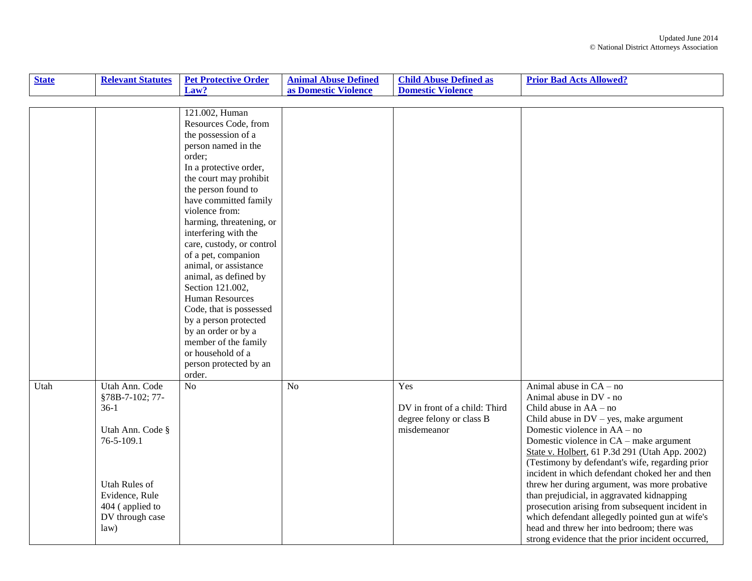| <b>State</b> | <b>Relevant Statutes</b>                                                                                                                                              | <b>Pet Protective Order</b>                                                                                                                                                                                                                                                                                                                                                                                                                                                                                                                                                              | <b>Animal Abuse Defined</b> | <b>Child Abuse Defined as</b>                                                   | <b>Prior Bad Acts Allowed?</b>                                                                                                                                                                                                                                                                                                                                                                                                                                                                                                                                                                                                                                          |
|--------------|-----------------------------------------------------------------------------------------------------------------------------------------------------------------------|------------------------------------------------------------------------------------------------------------------------------------------------------------------------------------------------------------------------------------------------------------------------------------------------------------------------------------------------------------------------------------------------------------------------------------------------------------------------------------------------------------------------------------------------------------------------------------------|-----------------------------|---------------------------------------------------------------------------------|-------------------------------------------------------------------------------------------------------------------------------------------------------------------------------------------------------------------------------------------------------------------------------------------------------------------------------------------------------------------------------------------------------------------------------------------------------------------------------------------------------------------------------------------------------------------------------------------------------------------------------------------------------------------------|
|              |                                                                                                                                                                       | Law?                                                                                                                                                                                                                                                                                                                                                                                                                                                                                                                                                                                     | as Domestic Violence        | <b>Domestic Violence</b>                                                        |                                                                                                                                                                                                                                                                                                                                                                                                                                                                                                                                                                                                                                                                         |
|              |                                                                                                                                                                       |                                                                                                                                                                                                                                                                                                                                                                                                                                                                                                                                                                                          |                             |                                                                                 |                                                                                                                                                                                                                                                                                                                                                                                                                                                                                                                                                                                                                                                                         |
|              |                                                                                                                                                                       | 121.002, Human<br>Resources Code, from<br>the possession of a<br>person named in the<br>order:<br>In a protective order,<br>the court may prohibit<br>the person found to<br>have committed family<br>violence from:<br>harming, threatening, or<br>interfering with the<br>care, custody, or control<br>of a pet, companion<br>animal, or assistance<br>animal, as defined by<br>Section 121.002,<br><b>Human Resources</b><br>Code, that is possessed<br>by a person protected<br>by an order or by a<br>member of the family<br>or household of a<br>person protected by an<br>order. |                             |                                                                                 |                                                                                                                                                                                                                                                                                                                                                                                                                                                                                                                                                                                                                                                                         |
| Utah         | Utah Ann. Code<br>§78B-7-102; 77-<br>$36-1$<br>Utah Ann. Code §<br>76-5-109.1<br><b>Utah Rules of</b><br>Evidence, Rule<br>404 (applied to<br>DV through case<br>law) | N <sub>o</sub>                                                                                                                                                                                                                                                                                                                                                                                                                                                                                                                                                                           | N <sub>o</sub>              | Yes<br>DV in front of a child: Third<br>degree felony or class B<br>misdemeanor | Animal abuse in $CA - no$<br>Animal abuse in DV - no<br>Child abuse in $AA - no$<br>Child abuse in $DV$ – yes, make argument<br>Domestic violence in AA - no<br>Domestic violence in CA – make argument<br>State v. Holbert, 61 P.3d 291 (Utah App. 2002)<br>(Testimony by defendant's wife, regarding prior<br>incident in which defendant choked her and then<br>threw her during argument, was more probative<br>than prejudicial, in aggravated kidnapping<br>prosecution arising from subsequent incident in<br>which defendant allegedly pointed gun at wife's<br>head and threw her into bedroom; there was<br>strong evidence that the prior incident occurred, |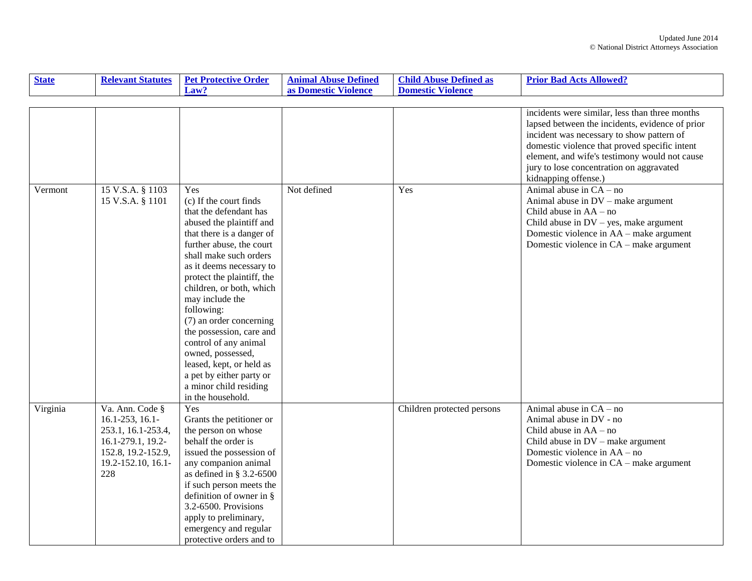| <b>State</b> | <b>Relevant Statutes</b>                                                                                                                 | <b>Pet Protective Order</b>                                                                                                                                                                                                                                                                                                                                                                                                                                                                               | <b>Animal Abuse Defined</b> | <b>Child Abuse Defined as</b> | <b>Prior Bad Acts Allowed?</b>                                                                                                                                                                                                                                                                                       |
|--------------|------------------------------------------------------------------------------------------------------------------------------------------|-----------------------------------------------------------------------------------------------------------------------------------------------------------------------------------------------------------------------------------------------------------------------------------------------------------------------------------------------------------------------------------------------------------------------------------------------------------------------------------------------------------|-----------------------------|-------------------------------|----------------------------------------------------------------------------------------------------------------------------------------------------------------------------------------------------------------------------------------------------------------------------------------------------------------------|
|              |                                                                                                                                          | Law?                                                                                                                                                                                                                                                                                                                                                                                                                                                                                                      | as Domestic Violence        | <b>Domestic Violence</b>      |                                                                                                                                                                                                                                                                                                                      |
|              |                                                                                                                                          |                                                                                                                                                                                                                                                                                                                                                                                                                                                                                                           |                             |                               |                                                                                                                                                                                                                                                                                                                      |
|              |                                                                                                                                          |                                                                                                                                                                                                                                                                                                                                                                                                                                                                                                           |                             |                               | incidents were similar, less than three months<br>lapsed between the incidents, evidence of prior<br>incident was necessary to show pattern of<br>domestic violence that proved specific intent<br>element, and wife's testimony would not cause<br>jury to lose concentration on aggravated<br>kidnapping offense.) |
| Vermont      | 15 V.S.A. § 1103<br>15 V.S.A. § 1101                                                                                                     | Yes<br>(c) If the court finds<br>that the defendant has<br>abused the plaintiff and<br>that there is a danger of<br>further abuse, the court<br>shall make such orders<br>as it deems necessary to<br>protect the plaintiff, the<br>children, or both, which<br>may include the<br>following:<br>(7) an order concerning<br>the possession, care and<br>control of any animal<br>owned, possessed,<br>leased, kept, or held as<br>a pet by either party or<br>a minor child residing<br>in the household. | Not defined                 | Yes                           | Animal abuse in $CA - no$<br>Animal abuse in $DV$ – make argument<br>Child abuse in $AA - no$<br>Child abuse in $DV$ – yes, make argument<br>Domestic violence in AA – make argument<br>Domestic violence in CA – make argument                                                                                      |
| Virginia     | Va. Ann. Code §<br>$16.1 - 253$ , $16.1 -$<br>253.1, 16.1-253.4,<br>16.1-279.1, 19.2-<br>152.8, 19.2-152.9,<br>19.2-152.10, 16.1-<br>228 | Yes<br>Grants the petitioner or<br>the person on whose<br>behalf the order is<br>issued the possession of<br>any companion animal<br>as defined in § 3.2-6500<br>if such person meets the<br>definition of owner in $\S$<br>3.2-6500. Provisions<br>apply to preliminary,<br>emergency and regular<br>protective orders and to                                                                                                                                                                            |                             | Children protected persons    | Animal abuse in $CA - no$<br>Animal abuse in DV - no<br>Child abuse in $AA - no$<br>Child abuse in $DV$ – make argument<br>Domestic violence in AA – no<br>Domestic violence in CA – make argument                                                                                                                   |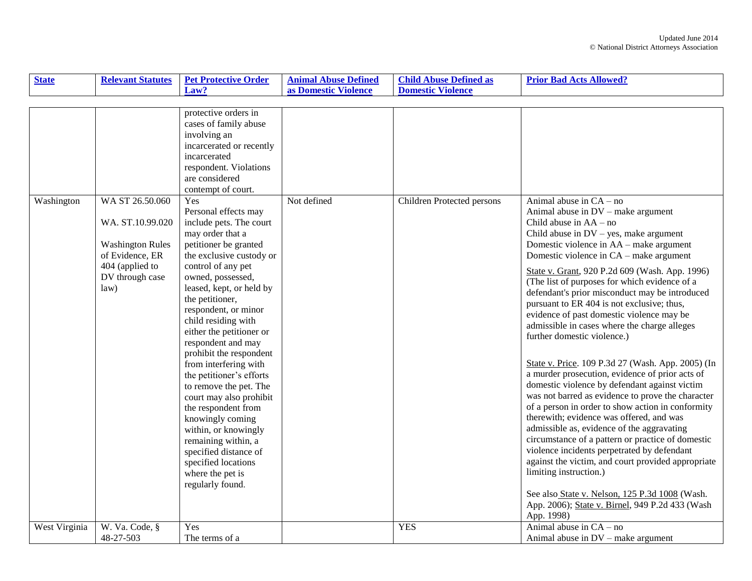| <b>State</b>  | <b>Relevant Statutes</b>                                                                                                        | <b>Pet Protective Order</b>                                                                                                                                                                                                                                                                                                                                                                                                                                                                                                                                                                                                                       | <b>Animal Abuse Defined</b> | <b>Child Abuse Defined as</b>     | <b>Prior Bad Acts Allowed?</b>                                                                                                                                                                                                                                                                                                                                                                                                                                                                                                                                                                                                                                                                                                                                                                                                                                                                                                                                                                                                                                                                                                                                                                                                   |
|---------------|---------------------------------------------------------------------------------------------------------------------------------|---------------------------------------------------------------------------------------------------------------------------------------------------------------------------------------------------------------------------------------------------------------------------------------------------------------------------------------------------------------------------------------------------------------------------------------------------------------------------------------------------------------------------------------------------------------------------------------------------------------------------------------------------|-----------------------------|-----------------------------------|----------------------------------------------------------------------------------------------------------------------------------------------------------------------------------------------------------------------------------------------------------------------------------------------------------------------------------------------------------------------------------------------------------------------------------------------------------------------------------------------------------------------------------------------------------------------------------------------------------------------------------------------------------------------------------------------------------------------------------------------------------------------------------------------------------------------------------------------------------------------------------------------------------------------------------------------------------------------------------------------------------------------------------------------------------------------------------------------------------------------------------------------------------------------------------------------------------------------------------|
|               |                                                                                                                                 | Law?                                                                                                                                                                                                                                                                                                                                                                                                                                                                                                                                                                                                                                              | as Domestic Violence        | <b>Domestic Violence</b>          |                                                                                                                                                                                                                                                                                                                                                                                                                                                                                                                                                                                                                                                                                                                                                                                                                                                                                                                                                                                                                                                                                                                                                                                                                                  |
|               |                                                                                                                                 |                                                                                                                                                                                                                                                                                                                                                                                                                                                                                                                                                                                                                                                   |                             |                                   |                                                                                                                                                                                                                                                                                                                                                                                                                                                                                                                                                                                                                                                                                                                                                                                                                                                                                                                                                                                                                                                                                                                                                                                                                                  |
|               |                                                                                                                                 | protective orders in<br>cases of family abuse<br>involving an<br>incarcerated or recently<br>incarcerated<br>respondent. Violations<br>are considered<br>contempt of court.                                                                                                                                                                                                                                                                                                                                                                                                                                                                       |                             |                                   |                                                                                                                                                                                                                                                                                                                                                                                                                                                                                                                                                                                                                                                                                                                                                                                                                                                                                                                                                                                                                                                                                                                                                                                                                                  |
| Washington    | WA ST 26.50.060<br>WA. ST.10.99.020<br><b>Washington Rules</b><br>of Evidence, ER<br>404 (applied to<br>DV through case<br>law) | Yes<br>Personal effects may<br>include pets. The court<br>may order that a<br>petitioner be granted<br>the exclusive custody or<br>control of any pet<br>owned, possessed,<br>leased, kept, or held by<br>the petitioner,<br>respondent, or minor<br>child residing with<br>either the petitioner or<br>respondent and may<br>prohibit the respondent<br>from interfering with<br>the petitioner's efforts<br>to remove the pet. The<br>court may also prohibit<br>the respondent from<br>knowingly coming<br>within, or knowingly<br>remaining within, a<br>specified distance of<br>specified locations<br>where the pet is<br>regularly found. | Not defined                 | <b>Children Protected persons</b> | Animal abuse in $CA - no$<br>Animal abuse in DV - make argument<br>Child abuse in $AA - no$<br>Child abuse in $DV$ – yes, make argument<br>Domestic violence in AA – make argument<br>Domestic violence in CA – make argument<br>State v. Grant, 920 P.2d 609 (Wash. App. 1996)<br>(The list of purposes for which evidence of a<br>defendant's prior misconduct may be introduced<br>pursuant to ER 404 is not exclusive; thus,<br>evidence of past domestic violence may be<br>admissible in cases where the charge alleges<br>further domestic violence.)<br>State v. Price. 109 P.3d 27 (Wash. App. 2005) (In<br>a murder prosecution, evidence of prior acts of<br>domestic violence by defendant against victim<br>was not barred as evidence to prove the character<br>of a person in order to show action in conformity<br>therewith; evidence was offered, and was<br>admissible as, evidence of the aggravating<br>circumstance of a pattern or practice of domestic<br>violence incidents perpetrated by defendant<br>against the victim, and court provided appropriate<br>limiting instruction.)<br>See also State v. Nelson, 125 P.3d 1008 (Wash.<br>App. 2006); State v. Birnel, 949 P.2d 433 (Wash<br>App. 1998) |
| West Virginia | W. Va. Code, §<br>48-27-503                                                                                                     | Yes<br>The terms of a                                                                                                                                                                                                                                                                                                                                                                                                                                                                                                                                                                                                                             |                             | <b>YES</b>                        | Animal abuse in $CA - no$<br>Animal abuse in $DV$ – make argument                                                                                                                                                                                                                                                                                                                                                                                                                                                                                                                                                                                                                                                                                                                                                                                                                                                                                                                                                                                                                                                                                                                                                                |